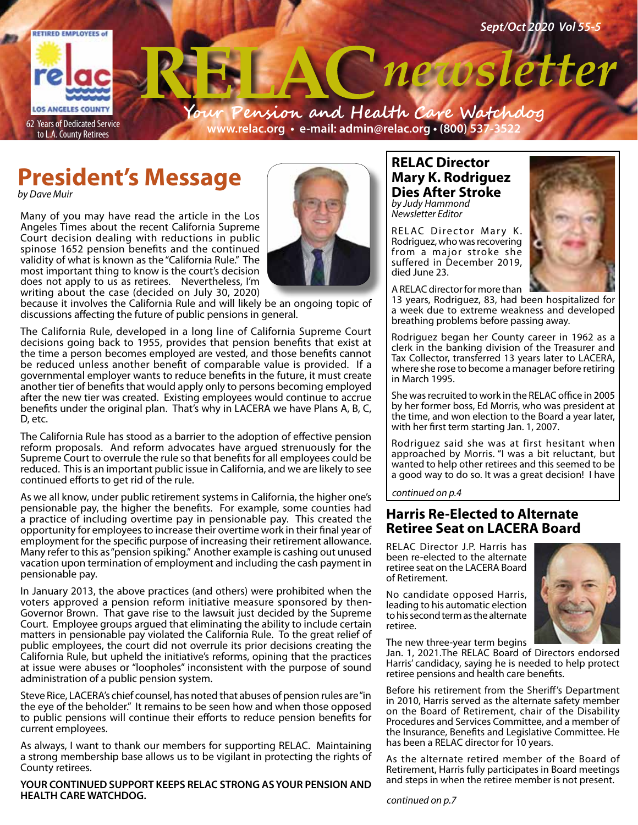

# **President's Message**

*by Dave Muir*

Many of you may have read the article in the Los Angeles Times about the recent California Supreme Court decision dealing with reductions in public spinose 1652 pension benefits and the continued validity of what is known as the "California Rule." The most important thing to know is the court's decision does not apply to us as retirees. Nevertheless, I'm writing about the case (decided on July 30, 2020)



because it involves the California Rule and will likely be an ongoing topic of discussions affecting the future of public pensions in general.

The California Rule, developed in a long line of California Supreme Court decisions going back to 1955, provides that pension benefits that exist at the time a person becomes employed are vested, and those benefits cannot be reduced unless another benefit of comparable value is provided. If a governmental employer wants to reduce benefits in the future, it must create another tier of benefits that would apply only to persons becoming employed after the new tier was created. Existing employees would continue to accrue benefits under the original plan. That's why in LACERA we have Plans A, B, C, D, etc.

The California Rule has stood as a barrier to the adoption of effective pension reform proposals. And reform advocates have argued strenuously for the Supreme Court to overrule the rule so that benefits for all employees could be reduced. This is an important public issue in California, and we are likely to see continued efforts to get rid of the rule.

As we all know, under public retirement systems in California, the higher one's pensionable pay, the higher the benefits. For example, some counties had a practice of including overtime pay in pensionable pay. This created the opportunity for employees to increase their overtime work in their final year of employment for the specific purpose of increasing their retirement allowance. Many refer to this as "pension spiking." Another example is cashing out unused vacation upon termination of employment and including the cash payment in pensionable pay.

In January 2013, the above practices (and others) were prohibited when the voters approved a pension reform initiative measure sponsored by then-Governor Brown. That gave rise to the lawsuit just decided by the Supreme Court. Employee groups argued that eliminating the ability to include certain matters in pensionable pay violated the California Rule. To the great relief of public employees, the court did not overrule its prior decisions creating the California Rule, but upheld the initiative's reforms, opining that the practices at issue were abuses or "loopholes" inconsistent with the purpose of sound administration of a public pension system.

Steve Rice, LACERA's chief counsel, has noted that abuses of pension rules are "in the eye of the beholder." It remains to be seen how and when those opposed to public pensions will continue their efforts to reduce pension benefits for current employees.

As always, I want to thank our members for supporting RELAC. Maintaining a strong membership base allows us to be vigilant in protecting the rights of County retirees.

#### **YOUR CONTINUED SUPPORT KEEPS RELAC STRONG AS YOUR PENSION AND HEALTH CARE WATCHDOG.**

## **RELAC Director Mary K. Rodriguez Dies After Stroke** *by Judy Hammond*

*Newsletter Editor*

RELAC Director Mary K. Rodriguez, who was recovering from a major stroke she suffered in December 2019, died June 23.



A RELAC director for more than

13 years, Rodriguez, 83, had been hospitalized for a week due to extreme weakness and developed breathing problems before passing away.

Rodriguez began her County career in 1962 as a clerk in the banking division of the Treasurer and Tax Collector, transferred 13 years later to LACERA, where she rose to become a manager before retiring in March 1995.

She was recruited to work in the RELAC office in 2005 by her former boss, Ed Morris, who was president at the time, and won election to the Board a year later, with her first term starting Jan. 1, 2007.

Rodriguez said she was at first hesitant when approached by Morris. "I was a bit reluctant, but wanted to help other retirees and this seemed to be a good way to do so. It was a great decision! I have

*continued on p.4*

# **Harris Re-Elected to Alternate Retiree Seat on LACERA Board**

RELAC Director J.P. Harris has been re-elected to the alternate retiree seat on the LACERA Board of Retirement.

No candidate opposed Harris, leading to his automatic election to his second term as the alternate retiree.



The new three-year term begins

Jan. 1, 2021. The RELAC Board of Directors endorsed Harris' candidacy, saying he is needed to help protect retiree pensions and health care benefits.

Before his retirement from the Sheriff's Department in 2010, Harris served as the alternate safety member on the Board of Retirement, chair of the Disability Procedures and Services Committee, and a member of the Insurance, Benefits and Legislative Committee. He has been a RELAC director for 10 years.

As the alternate retired member of the Board of Retirement, Harris fully participates in Board meetings and steps in when the retiree member is not present.

*continued on p.7*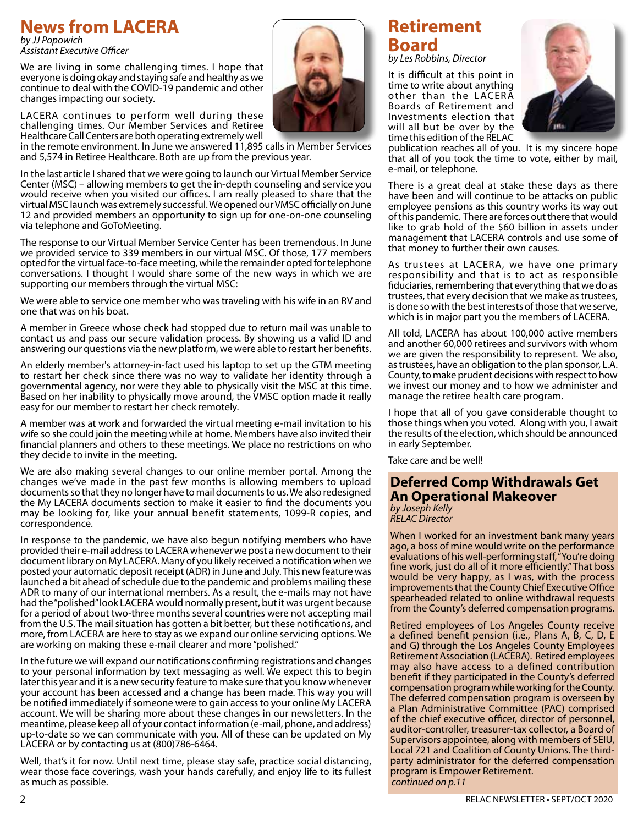# **News from LACERA**

*by JJ Popowich Assistant Executive Officer*

We are living in some challenging times. I hope that everyone is doing okay and staying safe and healthy as we continue to deal with the COVID-19 pandemic and other changes impacting our society.

LACERA continues to perform well during these challenging times. Our Member Services and Retiree Healthcare Call Centers are both operating extremely well

in the remote environment. In June we answered 11,895 calls in Member Services and 5,574 in Retiree Healthcare. Both are up from the previous year.

In the last article I shared that we were going to launch our Virtual Member Service Center (MSC) – allowing members to get the in-depth counseling and service you would receive when you visited our offices. I am really pleased to share that the virtual MSC launch was extremely successful. We opened our VMSC officially on June 12 and provided members an opportunity to sign up for one-on-one counseling via telephone and GoToMeeting.

The response to our Virtual Member Service Center has been tremendous. In June we provided service to 339 members in our virtual MSC. Of those, 177 members opted for the virtual face-to-face meeting, while the remainder opted for telephone conversations. I thought I would share some of the new ways in which we are supporting our members through the virtual MSC:

We were able to service one member who was traveling with his wife in an RV and one that was on his boat.

A member in Greece whose check had stopped due to return mail was unable to contact us and pass our secure validation process. By showing us a valid ID and answering our questions via the new platform, we were able to restart her benefits.

An elderly member's attorney-in-fact used his laptop to set up the GTM meeting to restart her check since there was no way to validate her identity through a governmental agency, nor were they able to physically visit the MSC at this time. Based on her inability to physically move around, the VMSC option made it really easy for our member to restart her check remotely.

A member was at work and forwarded the virtual meeting e-mail invitation to his wife so she could join the meeting while at home. Members have also invited their financial planners and others to these meetings. We place no restrictions on who they decide to invite in the meeting.

We are also making several changes to our online member portal. Among the changes we've made in the past few months is allowing members to upload documents so that they no longer have to mail documents to us. We also redesigned the My LACERA documents section to make it easier to find the documents you may be looking for, like your annual benefit statements, 1099-R copies, and correspondence.

In response to the pandemic, we have also begun notifying members who have provided their e-mail address to LACERA whenever we post a new document to their document library on My LACERA. Many of you likely received a notification when we posted your automatic deposit receipt (ADR) in June and July. This new feature was launched a bit ahead of schedule due to the pandemic and problems mailing these ADR to many of our international members. As a result, the e-mails may not have had the "polished" look LACERA would normally present, but it was urgent because for a period of about two-three months several countries were not accepting mail from the U.S. The mail situation has gotten a bit better, but these notifications, and more, from LACERA are here to stay as we expand our online servicing options. We are working on making these e-mail clearer and more "polished."

In the future we will expand our notifications confirming registrations and changes to your personal information by text messaging as well. We expect this to begin later this year and it is a new security feature to make sure that you know whenever your account has been accessed and a change has been made. This way you will be notified immediately if someone were to gain access to your online My LACERA account. We will be sharing more about these changes in our newsletters. In the meantime, please keep all of your contact information (e-mail, phone, and address) up-to-date so we can communicate with you. All of these can be updated on My LACERA or by contacting us at (800)786-6464.

Well, that's it for now. Until next time, please stay safe, practice social distancing, wear those face coverings, wash your hands carefully, and enjoy life to its fullest as much as possible.

# **Retirement Board** *by Les Robbins, Director*

It is difficult at this point in time to write about anything other than the LACERA Boards of Retirement and Investments election that will all but be over by the time this edition of the RELAC



publication reaches all of you. It is my sincere hope that all of you took the time to vote, either by mail, e-mail, or telephone.

There is a great deal at stake these days as there have been and will continue to be attacks on public employee pensions as this country works its way out of this pandemic. There are forces out there that would like to grab hold of the \$60 billion in assets under management that LACERA controls and use some of that money to further their own causes.

As trustees at LACERA, we have one primary responsibility and that is to act as responsible fiduciaries, remembering that everything that we do as trustees, that every decision that we make as trustees, is done so with the best interests of those that we serve, which is in major part you the members of LACERA.

All told, LACERA has about 100,000 active members and another 60,000 retirees and survivors with whom we are given the responsibility to represent. We also, as trustees, have an obligation to the plan sponsor, L.A. County, to make prudent decisions with respect to how we invest our money and to how we administer and manage the retiree health care program.

I hope that all of you gave considerable thought to those things when you voted. Along with you, I await the results of the election, which should be announced in early September.

Take care and be well!

### **Deferred Comp Withdrawals Get An Operational Makeover** *by Joseph Kelly*

*RELAC Director*

When I worked for an investment bank many years ago, a boss of mine would write on the performance evaluations of his well-performing staff, "You're doing fine work, just do all of it more efficiently." That boss would be very happy, as I was, with the process improvements that the County Chief Executive Office spearheaded related to online withdrawal requests from the County's deferred compensation programs.

Retired employees of Los Angeles County receive a defined benefit pension (i.e., Plans A, B, C, D, E and G) through the Los Angeles County Employees Retirement Association (LACERA). Retired employees may also have access to a defined contribution benefit if they participated in the County's deferred compensation program while working for the County. The deferred compensation program is overseen by a Plan Administrative Committee (PAC) comprised of the chief executive officer, director of personnel, auditor-controller, treasurer-tax collector, a Board of Supervisors appointee, along with members of SEIU, Local 721 and Coalition of County Unions. The thirdparty administrator for the deferred compensation program is Empower Retirement. *continued on p.11*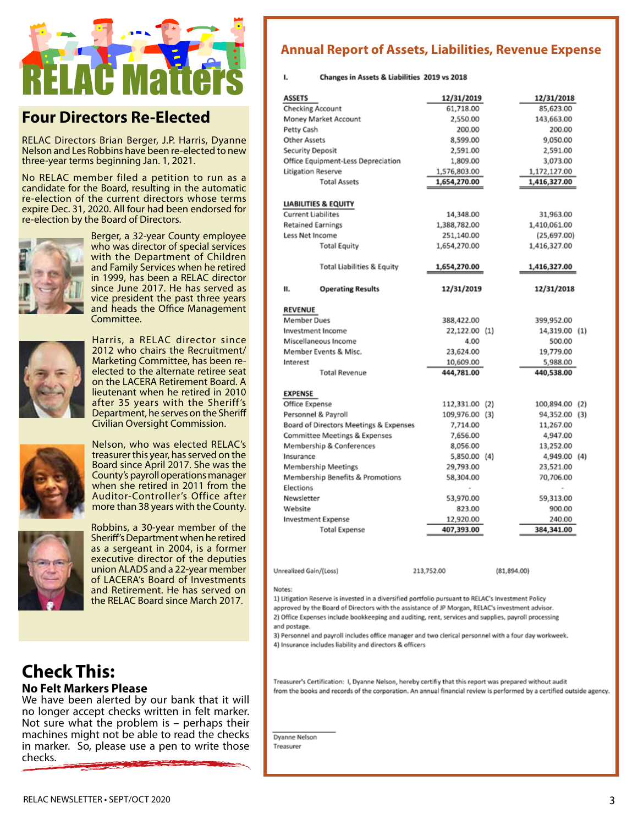

# **Four Directors Re-Elected**

RELAC Directors Brian Berger, J.P. Harris, Dyanne Nelson and Les Robbins have been re-elected to new three-year terms beginning Jan. 1, 2021.

No RELAC member filed a petition to run as a candidate for the Board, resulting in the automatic re-election of the current directors whose terms expire Dec. 31, 2020. All four had been endorsed for re-election by the Board of Directors.



Berger, a 32-year County employee who was director of special services with the Department of Children and Family Services when he retired in 1999, has been a RELAC director since June 2017. He has served as vice president the past three years and heads the Office Management Committee.



Harris, a RELAC director since 2012 who chairs the Recruitment/ Marketing Committee, has been reelected to the alternate retiree seat on the LACERA Retirement Board. A lieutenant when he retired in 2010 after 35 years with the Sheriff's Department, he serves on the Sheriff Civilian Oversight Commission.



treasurer this year, has served on the Board since April 2017. She was the County's payroll operations manager when she retired in 2011 from the Auditor-Controller's Office after more than 38 years with the County.

Nelson, who was elected RELAC's



Robbins, a 30-year member of the Sheriff's Department when he retired as a sergeant in 2004, is a former executive director of the deputies union ALADS and a 22-year member of LACERA's Board of Investments and Retirement. He has served on the RELAC Board since March 2017.

# **Check This: No Felt Markers Please**

We have been alerted by our bank that it will no longer accept checks written in felt marker. Not sure what the problem is – perhaps their machines might not be able to read the checks in marker. So, please use a pen to write those checks.

# **Annual Report of Assets, Liabilities, Revenue Expense**

#### Changes in Assets & Liabilities 2019 vs 2018

ı.

| <b>ASSETS</b>                          |                                       | 12/31/2019     | 12/31/2018     |  |
|----------------------------------------|---------------------------------------|----------------|----------------|--|
| Checking Account                       |                                       | 61,718.00      | 85,623.00      |  |
| Money Market Account                   |                                       | 2,550.00       | 143,663.00     |  |
| Petty Cash                             |                                       | 200.00         | 200.00         |  |
| Other Assets                           |                                       | 8,599.00       | 9,050.00       |  |
| Security Deposit                       |                                       | 2,591.00       | 2,591.00       |  |
| Office Equipment-Less Depreciation     |                                       | 1,809.00       | 3,073.00       |  |
| <b>Litigation Reserve</b>              |                                       | 1,576,803.00   | 1,172,127.00   |  |
|                                        | <b>Total Assets</b>                   | 1,654,270.00   | 1,416,327.00   |  |
|                                        | <b>LIABILITIES &amp; EQUITY</b>       |                |                |  |
| <b>Current Liabilites</b>              |                                       | 14,348.00      | 31,963.00      |  |
| <b>Retained Earnings</b>               |                                       | 1,388,782.00   | 1,410,061.00   |  |
| Less Net Income                        |                                       | 251,140.00     | (25, 697.00)   |  |
|                                        | <b>Total Equity</b>                   | 1,654,270.00   | 1,416,327.00   |  |
|                                        | <b>Total Liabilities &amp; Equity</b> | 1,654,270.00   | 1,416,327.00   |  |
| н.                                     | <b>Operating Results</b>              | 12/31/2019     | 12/31/2018     |  |
| <b>REVENUE</b>                         |                                       |                |                |  |
| <b>Member Dues</b>                     |                                       | 388,422.00     | 399,952.00     |  |
| Investment Income                      |                                       | 22,122.00 (1)  | 14,319.00 (1)  |  |
| Miscellaneous Income                   |                                       | 4.00           | 500.00         |  |
| Member Events & Misc.                  |                                       | 23,624.00      | 19,779.00      |  |
| Interest                               |                                       | 10,609.00      | 5,988.00       |  |
| <b>Total Revenue</b>                   |                                       | 444,781.00     | 440,538.00     |  |
| <b>EXPENSE</b>                         |                                       |                |                |  |
| Office Expense                         |                                       | 112,331.00 (2) | 100,894.00 (2) |  |
| Personnel & Payroll                    |                                       | 109,976.00 (3) | 94,352.00 (3)  |  |
| Board of Directors Meetings & Expenses |                                       | 7,714.00       | 11,267.00      |  |
| Committee Meetings & Expenses          |                                       | 7,656.00       | 4,947.00       |  |
| Membership & Conferences               |                                       | 8,056.00       | 13,252.00      |  |
| Insurance                              |                                       | 5,850.00 (4)   | 4,949.00 (4)   |  |
| Membership Meetings                    |                                       | 29,793.00      | 23,521.00      |  |
| Membership Benefits & Promotions       |                                       | 58,304.00      | 70,706.00      |  |
| Elections                              |                                       |                |                |  |
| Newsletter                             |                                       | 53,970.00      | 59,313.00      |  |
| Website                                |                                       | 823.00         | 900.00         |  |
| <b>Investment Expense</b>              |                                       | 12,920.00      | 240.00         |  |
| <b>Total Expense</b>                   |                                       | 407,393.00     | 384,341.00     |  |
|                                        |                                       |                |                |  |

Unrealized Gain/(Loss)

 $(81.894.00)$ 

#### Notes:

1) Litigation Reserve is invested in a diversified portfolio pursuant to RELAC's Investment Policy approved by the Board of Directors with the assistance of JP Morgan, RELAC's investment advisor. 2) Office Expenses include bookkeeping and auditing, rent, services and supplies, payroll processing

and postage.

3) Personnel and payroll includes office manager and two clerical personnel with a four day workweek. 4) Insurance includes liability and directors & officers

213.752.00

Treasurer's Certification: 1, Dyanne Nelson, hereby certifiy that this report was prepared without audit from the books and records of the corporation. An annual financial review is performed by a certified outside agency.

**Dyanne Nelson** Treasurer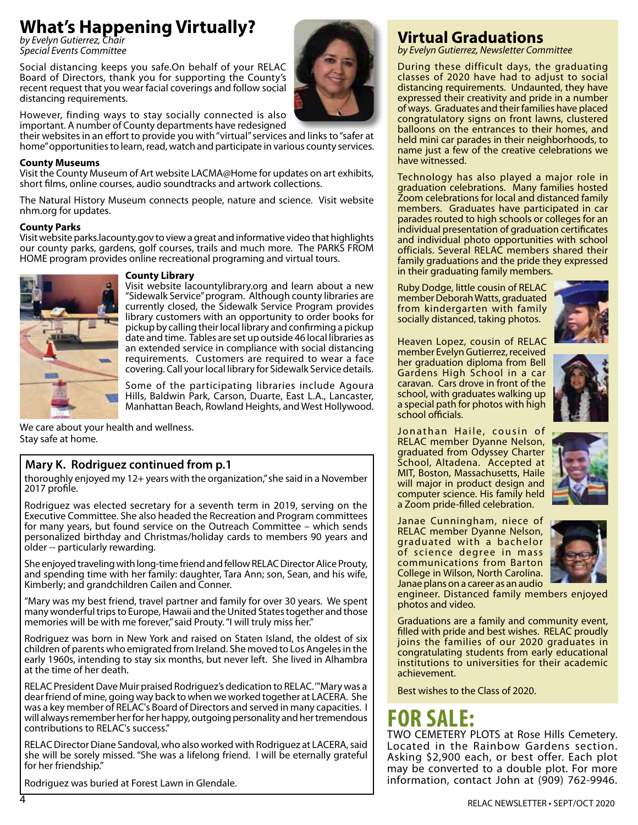# **What's Happening Virtually?**

*by Evelyn Gutierrez, Chair Special Events Committee*

Social distancing keeps you safe.On behalf of your RELAC Board of Directors, thank you for supporting the County's recent request that you wear facial coverings and follow social distancing requirements.

However, finding ways to stay socially connected is also important. A number of County departments have redesigned

their websites in an effort to provide you with "virtual" services and links to "safer at home" opportunities to learn, read, watch and participate in various county services.

#### **County Museums**

Visit the County Museum of Art website LACMA@Home for updates on art exhibits, short films, online courses, audio soundtracks and artwork collections.

The Natural History Museum connects people, nature and science. Visit website nhm.org for updates.

#### **County Parks**

Visit website parks.lacounty.gov to view a great and informative video that highlights our county parks, gardens, golf courses, trails and much more. The PARKS FROM HOME program provides online recreational programing and virtual tours.



#### **County Library**

Visit website lacountylibrary.org and learn about a new "Sidewalk Service" program. Although county libraries are currently closed, the Sidewalk Service Program provides library customers with an opportunity to order books for pickup by calling their local library and confirming a pickup date and time. Tables are set up outside 46 local libraries as an extended service in compliance with social distancing requirements. Customers are required to wear a face covering. Call your local library for Sidewalk Service details.

Some of the participating libraries include Agoura Hills, Baldwin Park, Carson, Duarte, East L.A., Lancaster, Manhattan Beach, Rowland Heights, and West Hollywood.

We care about your health and wellness. Stay safe at home.

## **Mary K. Rodriguez continued from p.1**

thoroughly enjoyed my 12+ years with the organization," she said in a November 2017 profile.

Rodriguez was elected secretary for a seventh term in 2019, serving on the Executive Committee. She also headed the Recreation and Program committees for many years, but found service on the Outreach Committee – which sends personalized birthday and Christmas/holiday cards to members 90 years and older -- particularly rewarding.

She enjoyed traveling with long-time friend and fellow RELAC Director Alice Prouty, and spending time with her family: daughter, Tara Ann; son, Sean, and his wife, Kimberly; and grandchildren Cailen and Conner.

"Mary was my best friend, travel partner and family for over 30 years. We spent many wonderful trips to Europe, Hawaii and the United States together and those memories will be with me forever," said Prouty. "I will truly miss her."

Rodriguez was born in New York and raised on Staten Island, the oldest of six children of parents who emigrated from Ireland. She moved to Los Angeles in the early 1960s, intending to stay six months, but never left. She lived in Alhambra at the time of her death.

RELAC President Dave Muir praised Rodriguez's dedication to RELAC. '"Mary was a dear friend of mine, going way back to when we worked together at LACERA. She was a key member of RELAC's Board of Directors and served in many capacities. I will always remember her for her happy, outgoing personality and her tremendous contributions to RELAC's success."

RELAC Director Diane Sandoval, who also worked with Rodriguez at LACERA, said she will be sorely missed. "She was a lifelong friend. I will be eternally grateful for her friendship."

Rodriguez was buried at Forest Lawn in Glendale.

# **Virtual Graduations**

*by Evelyn Gutierrez, Newsletter Committee*

During these difficult days, the graduating classes of 2020 have had to adjust to social distancing requirements. Undaunted, they have expressed their creativity and pride in a number of ways. Graduates and their families have placed congratulatory signs on front lawns, clustered balloons on the entrances to their homes, and held mini car parades in their neighborhoods, to name just a few of the creative celebrations we have witnessed.

Technology has also played a major role in graduation celebrations. Many families hosted Zoom celebrations for local and distanced family members. Graduates have participated in car parades routed to high schools or colleges for an individual presentation of graduation certificates and individual photo opportunities with school officials. Several RELAC members shared their family graduations and the pride they expressed in their graduating family members.

Ruby Dodge, little cousin of RELAC member Deborah Watts, graduated from kindergarten with family socially distanced, taking photos.

Heaven Lopez, cousin of RELAC member Evelyn Gutierrez, received her graduation diploma from Bell Gardens High School in a car caravan. Cars drove in front of the school, with graduates walking up a special path for photos with high school officials.





Jonathan Haile, cousin of RELAC member Dyanne Nelson, graduated from Odyssey Charter School, Altadena. Accepted at MIT, Boston, Massachusetts, Haile will major in product design and computer science. His family held a Zoom pride-filled celebration.



Janae Cunningham, niece of RELAC member Dyanne Nelson, graduated with a bachelor of science degree in mass communications from Barton College in Wilson, North Carolina. Janae plans on a career as an audio

engineer. Distanced family members enjoyed photos and video.

Graduations are a family and community event, filled with pride and best wishes. RELAC proudly joins the families of our 2020 graduates in congratulating students from early educational institutions to universities for their academic achievement.

Best wishes to the Class of 2020.

# **FOR SALE:**

TWO CEMETERY PLOTS at Rose Hills Cemetery. Located in the Rainbow Gardens section. Asking \$2,900 each, or best offer. Each plot may be converted to a double plot. For more information, contact John at (909) 762-9946.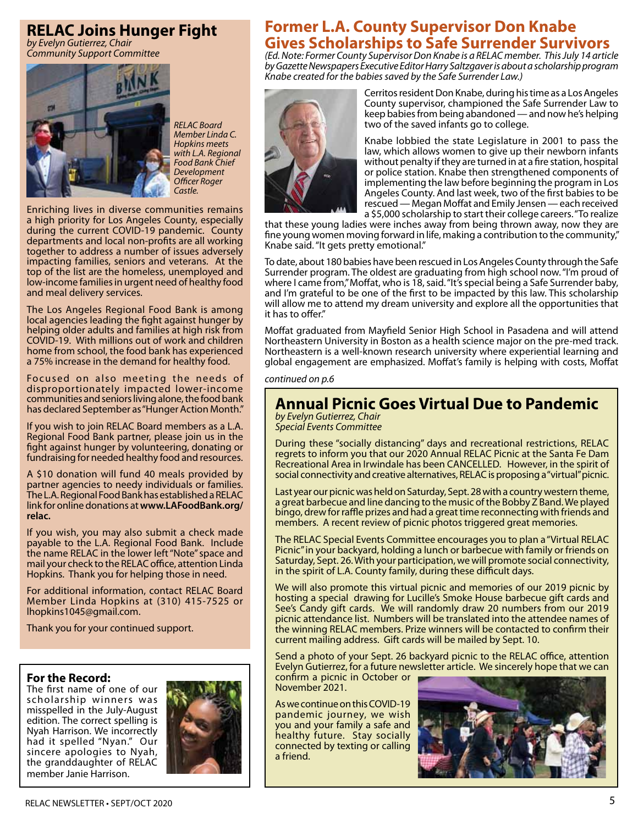# **RELAC Joins Hunger Fight**

*by Evelyn Gutierrez, Chair Community Support Committee*



*RELAC Board Member Linda C. Hopkins meets with L.A. Regional Food Bank Chief Development Officer Roger Castle.*

Enriching lives in diverse communities remains a high priority for Los Angeles County, especially during the current COVID-19 pandemic. County departments and local non-profits are all working together to address a number of issues adversely impacting families, seniors and veterans. At the top of the list are the homeless, unemployed and low-income families in urgent need of healthy food and meal delivery services.

The Los Angeles Regional Food Bank is among local agencies leading the fight against hunger by helping older adults and families at high risk from COVID-19. With millions out of work and children home from school, the food bank has experienced a 75% increase in the demand for healthy food.

Focused on also meeting the needs of disproportionately impacted lower-income communities and seniors living alone, the food bank has declared September as "Hunger Action Month."

If you wish to join RELAC Board members as a L.A. Regional Food Bank partner, please join us in the fight against hunger by volunteering, donating or fundraising for needed healthy food and resources.

A \$10 donation will fund 40 meals provided by partner agencies to needy individuals or families. The L.A. Regional Food Bank has established a RELAC link for online donations at **www.LAFoodBank.org/ relac.**

If you wish, you may also submit a check made payable to the L.A. Regional Food Bank. Include the name RELAC in the lower left "Note" space and mail your check to the RELAC office, attention Linda Hopkins. Thank you for helping those in need.

For additional information, contact RELAC Board Member Linda Hopkins at (310) 415-7525 or lhopkins1045@gmail.com.

Thank you for your continued support.

### **For the Record:**

The first name of one of our scholarship winners was misspelled in the July-August edition. The correct spelling is Nyah Harrison. We incorrectly had it spelled "Nyan." Our sincere apologies to Nyah, the granddaughter of RELAC member Janie Harrison.



# **Former L.A. County Supervisor Don Knabe Gives Scholarships to Safe Surrender Survivors**

*(Ed. Note: Former County Supervisor Don Knabe is a RELAC member. This July 14 article by Gazette Newspapers Executive Editor Harry Saltzgaver is about a scholarship program Knabe created for the babies saved by the Safe Surrender Law.)*



Cerritos resident Don Knabe, during his time as a Los Angeles County supervisor, championed the Safe Surrender Law to keep babies from being abandoned — and now he's helping two of the saved infants go to college.

Knabe lobbied the state Legislature in 2001 to pass the law, which allows women to give up their newborn infants without penalty if they are turned in at a fire station, hospital or police station. Knabe then strengthened components of implementing the law before beginning the program in Los Angeles County. And last week, two of the first babies to be rescued — Megan Moffat and Emily Jensen — each received a \$5,000 scholarship to start their college careers. "To realize

that these young ladies were inches away from being thrown away, now they are fine young women moving forward in life, making a contribution to the community," Knabe said. "It gets pretty emotional."

To date, about 180 babies have been rescued in Los Angeles County through the Safe Surrender program. The oldest are graduating from high school now. "I'm proud of where I came from," Moffat, who is 18, said. "It's special being a Safe Surrender baby, and I'm grateful to be one of the first to be impacted by this law. This scholarship will allow me to attend my dream university and explore all the opportunities that it has to offer."

Moffat graduated from Mayfield Senior High School in Pasadena and will attend Northeastern University in Boston as a health science major on the pre-med track. Northeastern is a well-known research university where experiential learning and global engagement are emphasized. Moffat's family is helping with costs, Moffat

#### *continued on p.6*

# **Annual Picnic Goes Virtual Due to Pandemic**

*by Evelyn Gutierrez, Chair Special Events Committee*

During these "socially distancing" days and recreational restrictions, RELAC regrets to inform you that our 2020 Annual RELAC Picnic at the Santa Fe Dam Recreational Area in Irwindale has been CANCELLED. However, in the spirit of social connectivity and creative alternatives, RELAC is proposing a "virtual" picnic.

Last year our picnic was held on Saturday, Sept. 28 with a country western theme, a great barbecue and line dancing to the music of the Bobby Z Band. We played bingo, drew for raffle prizes and had a great time reconnecting with friends and members. A recent review of picnic photos triggered great memories.

The RELAC Special Events Committee encourages you to plan a "Virtual RELAC Picnic" in your backyard, holding a lunch or barbecue with family or friends on Saturday, Sept. 26. With your participation, we will promote social connectivity, in the spirit of L.A. County family, during these difficult days.

We will also promote this virtual picnic and memories of our 2019 picnic by hosting a special drawing for Lucille's Smoke House barbecue gift cards and See's Candy gift cards. We will randomly draw 20 numbers from our 2019 picnic attendance list. Numbers will be translated into the attendee names of the winning RELAC members. Prize winners will be contacted to confirm their current mailing address. Gift cards will be mailed by Sept. 10.

Send a photo of your Sept. 26 backyard picnic to the RELAC office, attention Evelyn Gutierrez, for a future newsletter article. We sincerely hope that we can

confirm a picnic in October or November 2021.

As we continue on this COVID-19 pandemic journey, we wish you and your family a safe and healthy future. Stay socially connected by texting or calling a friend.

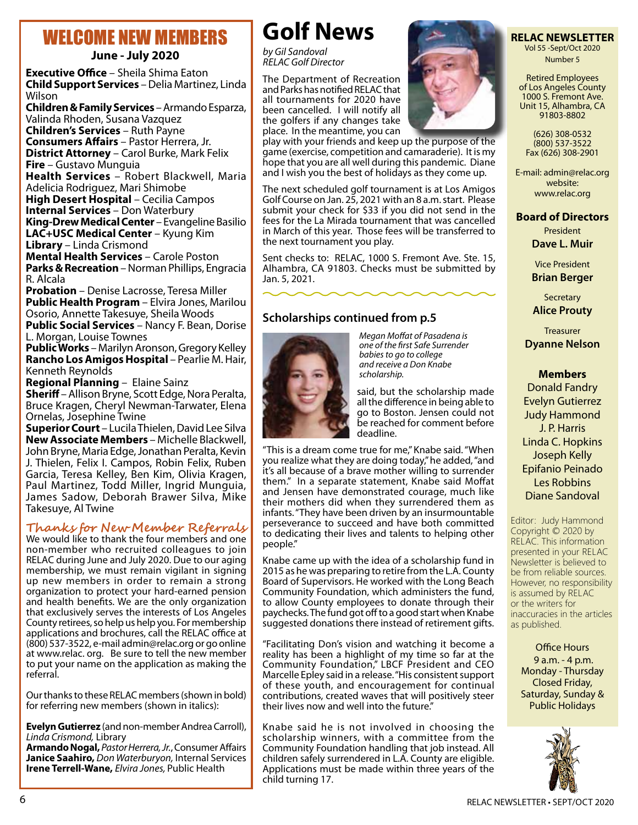# WELCOME NEW MEMBERS

**June - July 2020**

**Executive Office** – Sheila Shima Eaton **Child Support Services** – Delia Martinez, Linda Wilson

**Children & Family Services** – Armando Esparza, Valinda Rhoden, Susana Vazquez

**Children's Services** – Ruth Payne **Consumers Affairs** – Pastor Herrera, Jr. **District Attorney** – Carol Burke, Mark Felix

**Fire** – Gustavo Munguia **Health Services** – Robert Blackwell, Maria

Adelicia Rodriguez, Mari Shimobe **High Desert Hospital** – Cecilia Campos **Internal Services** – Don Waterbury **King-Drew Medical Center** – Evangeline Basilio **LAC+USC Medical Center** – Kyung Kim

**Library** – Linda Crismond **Mental Health Services** – Carole Poston **Parks & Recreation** – Norman Phillips, Engracia R. Alcala

**Probation** – Denise Lacrosse, Teresa Miller **Public Health Program** – Elvira Jones, Marilou Osorio, Annette Takesuye, Sheila Woods **Public Social Services** – Nancy F. Bean, Dorise

L. Morgan, Louise Townes

**Public Works** – Marilyn Aronson, Gregory Kelley **Rancho Los Amigos Hospital** – Pearlie M. Hair, Kenneth Reynolds

**Regional Planning** – Elaine Sainz

**Sheriff** – Allison Bryne, Scott Edge, Nora Peralta, Bruce Kragen, Cheryl Newman-Tarwater, Elena Ornelas, Josephine Twine

**Superior Court** – Lucila Thielen, David Lee Silva **New Associate Members** – Michelle Blackwell, John Bryne, Maria Edge, Jonathan Peralta, Kevin J. Thielen, Felix I. Campos, Robin Felix, Ruben Garcia, Teresa Kelley, Ben Kim, Olivia Kragen, Paul Martinez, Todd Miller, Ingrid Munguia, James Sadow, Deborah Brawer Silva, Mike Takesuye, Al Twine

## **Thanks for New Member Referrals**

We would like to thank the four members and one non-member who recruited colleagues to join RELAC during June and July 2020. Due to our aging membership, we must remain vigilant in signing up new members in order to remain a strong organization to protect your hard-earned pension and health benefits. We are the only organization that exclusively serves the interests of Los Angeles County retirees, so help us help you. For membership applications and brochures, call the RELAC office at (800) 537-3522, e-mail admin@relac.org or go online at www.relac. org. Be sure to tell the new member to put your name on the application as making the referral.

Our thanks to these RELAC members (shown in bold) for referring new members (shown in italics):

**Evelyn Gutierrez** (and non-member Andrea Carroll), *Linda Crismond,* Library

**Armando Nogal,** *Pastor Herrera, Jr.*, Consumer Affairs **Janice Saahiro,** *Don Waterburyon,* Internal Services **Irene Terrell-Wane,** *Elvira Jones,* Public Health

# **Golf News**

*by Gil Sandoval RELAC Golf Director*

The Department of Recreation and Parks has notified RELAC that all tournaments for 2020 have been cancelled. I will notify all the golfers if any changes take place. In the meantime, you can

play with your friends and keep up the purpose of the game (exercise, competition and camaraderie). It is my hope that you are all well during this pandemic. Diane and I wish you the best of holidays as they come up.

The next scheduled golf tournament is at Los Amigos Golf Course on Jan. 25, 2021 with an 8 a.m. start. Please submit your check for \$33 if you did not send in the fees for the La Mirada tournament that was cancelled in March of this year. Those fees will be transferred to the next tournament you play.

Sent checks to: RELAC, 1000 S. Fremont Ave. Ste. 15, Alhambra, CA 91803. Checks must be submitted by Jan. 5, 2021.

# **Scholarships continued from p.5**



*Megan Moffat of Pasadena is one of the first Safe Surrender babies to go to college and receive a Don Knabe scholarship.*

said, but the scholarship made all the difference in being able to go to Boston. Jensen could not be reached for comment before deadline.

"This is a dream come true for me," Knabe said. "When you realize what they are doing today," he added, "and it's all because of a brave mother willing to surrender them." In a separate statement, Knabe said Moffat and Jensen have demonstrated courage, much like their mothers did when they surrendered them as infants. "They have been driven by an insurmountable perseverance to succeed and have both committed to dedicating their lives and talents to helping other people."

Knabe came up with the idea of a scholarship fund in 2015 as he was preparing to retire from the L.A. County Board of Supervisors. He worked with the Long Beach Community Foundation, which administers the fund, to allow County employees to donate through their paychecks. The fund got off to a good start when Knabe suggested donations there instead of retirement gifts.

"Facilitating Don's vision and watching it become a reality has been a highlight of my time so far at the Community Foundation," LBCF President and CEO Marcelle Epley said in a release. "His consistent support of these youth, and encouragement for continual contributions, created waves that will positively steer their lives now and well into the future."

Knabe said he is not involved in choosing the scholarship winners, with a committee from the Community Foundation handling that job instead. All children safely surrendered in L.A. County are eligible. Applications must be made within three years of the child turning 17.

### **RELAC NEWSLETTER**  Vol 55 -Sept/Oct 2020

Number 5

Retired Employees of Los Angeles County 1000 S. Fremont Ave. Unit 15, Alhambra, CA 91803-8802

(626) 308-0532 (800) 537-3522 Fax (626) 308-2901

E-mail: admin@relac.org website: www.relac.org

### **Board of Directors**

President **Dave L. Muir**

Vice President **Brian Berger**

**Secretary Alice Prouty**

Treasurer **Dyanne Nelson**

### **Members**

Donald Fandry Evelyn Gutierrez Judy Hammond J. P. Harris Linda C. Hopkins Joseph Kelly Epifanio Peinado Les Robbins Diane Sandoval

Editor: Judy Hammond Copyright © 2020 by RELAC. This information presented in your RELAC Newsletter is believed to be from reliable sources. However, no responsibility is assumed by RELAC or the writers for inaccuracies in the articles as published.

Office Hours 9 a.m. - 4 p.m. Monday - Thursday Closed Friday, Saturday, Sunday & Public Holidays

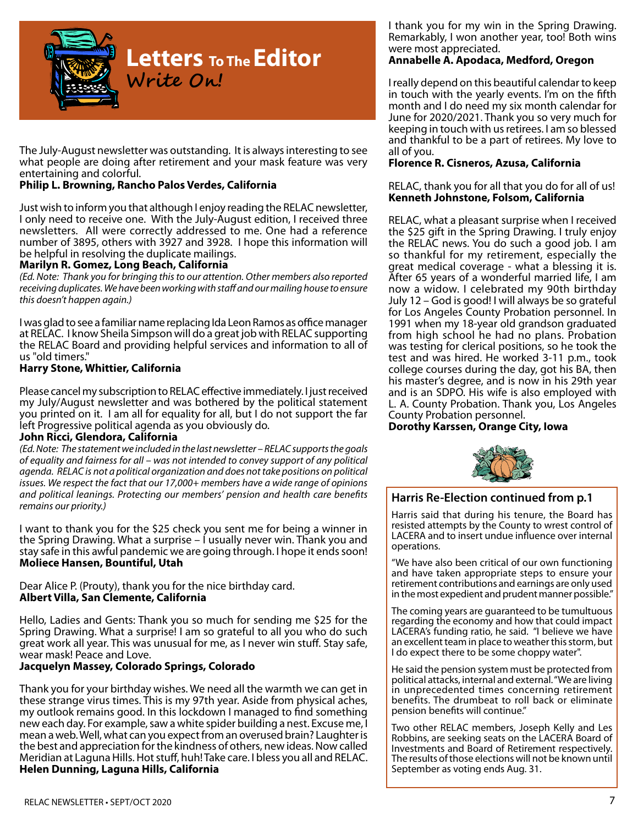

The July-August newsletter was outstanding. It is always interesting to see what people are doing after retirement and your mask feature was very entertaining and colorful.

#### **Philip L. Browning, Rancho Palos Verdes, California**

Just wish to inform you that although I enjoy reading the RELAC newsletter, I only need to receive one. With the July-August edition, I received three newsletters. All were correctly addressed to me. One had a reference number of 3895, others with 3927 and 3928. I hope this information will be helpful in resolving the duplicate mailings.

#### **Marilyn R. Gomez, Long Beach, California**

*(Ed. Note: Thank you for bringing this to our attention. Other members also reported receiving duplicates. We have been working with staff and our mailing house to ensure this doesn't happen again.)*

I was glad to see a familiar name replacing Ida Leon Ramos as office manager at RELAC. I know Sheila Simpson will do a great job with RELAC supporting the RELAC Board and providing helpful services and information to all of us "old timers."

#### **Harry Stone, Whittier, California**

Please cancel my subscription to RELAC effective immediately. I just received my July/August newsletter and was bothered by the political statement you printed on it. I am all for equality for all, but I do not support the far left Progressive political agenda as you obviously do.

#### **John Ricci, Glendora, California**

*(Ed. Note: The statement we included in the last newsletter – RELAC supports the goals of equality and fairness for all – was not intended to convey support of any political agenda. RELAC is not a political organization and does not take positions on political issues. We respect the fact that our 17,000+ members have a wide range of opinions and political leanings. Protecting our members' pension and health care benefits remains our priority.)* 

I want to thank you for the \$25 check you sent me for being a winner in the Spring Drawing. What a surprise – I usually never win. Thank you and stay safe in this awful pandemic we are going through. I hope it ends soon! **Moliece Hansen, Bountiful, Utah**

Dear Alice P. (Prouty), thank you for the nice birthday card. **Albert Villa, San Clemente, California**

Hello, Ladies and Gents: Thank you so much for sending me \$25 for the Spring Drawing. What a surprise! I am so grateful to all you who do such great work all year. This was unusual for me, as I never win stuff. Stay safe, wear mask! Peace and Love.

#### **Jacquelyn Massey, Colorado Springs, Colorado**

Thank you for your birthday wishes. We need all the warmth we can get in these strange virus times. This is my 97th year. Aside from physical aches, my outlook remains good. In this lockdown I managed to find something new each day. For example, saw a white spider building a nest. Excuse me, I mean a web. Well, what can you expect from an overused brain? Laughter is the best and appreciation for the kindness of others, new ideas. Now called Meridian at Laguna Hills. Hot stuff, huh! Take care. I bless you all and RELAC. **Helen Dunning, Laguna Hills, California**

I thank you for my win in the Spring Drawing. Remarkably, I won another year, too! Both wins were most appreciated.

#### **Annabelle A. Apodaca, Medford, Oregon**

I really depend on this beautiful calendar to keep in touch with the yearly events. I'm on the fifth month and I do need my six month calendar for June for 2020/2021. Thank you so very much for keeping in touch with us retirees. I am so blessed and thankful to be a part of retirees. My love to all of you.

#### **Florence R. Cisneros, Azusa, California**

#### RELAC, thank you for all that you do for all of us! **Kenneth Johnstone, Folsom, California**

RELAC, what a pleasant surprise when I received the \$25 gift in the Spring Drawing. I truly enjoy the RELAC news. You do such a good job. I am so thankful for my retirement, especially the great medical coverage - what a blessing it is. After 65 years of a wonderful married life, I am now a widow. I celebrated my 90th birthday July 12 – God is good! I will always be so grateful for Los Angeles County Probation personnel. In 1991 when my 18-year old grandson graduated from high school he had no plans. Probation was testing for clerical positions, so he took the test and was hired. He worked 3-11 p.m., took college courses during the day, got his BA, then his master's degree, and is now in his 29th year and is an SDPO. His wife is also employed with L. A. County Probation. Thank you, Los Angeles County Probation personnel.

#### **Dorothy Karssen, Orange City, Iowa**



#### **Harris Re-Election continued from p.1**

Harris said that during his tenure, the Board has resisted attempts by the County to wrest control of LACERA and to insert undue influence over internal operations.

"We have also been critical of our own functioning and have taken appropriate steps to ensure your retirement contributions and earnings are only used in the most expedient and prudent manner possible."

The coming years are guaranteed to be tumultuous regarding the economy and how that could impact LACERA's funding ratio, he said. "I believe we have an excellent team in place to weather this storm, but I do expect there to be some choppy water".

He said the pension system must be protected from political attacks, internal and external. "We are living in unprecedented times concerning retirement benefits. The drumbeat to roll back or eliminate pension benefits will continue."

Two other RELAC members, Joseph Kelly and Les Robbins, are seeking seats on the LACERA Board of Investments and Board of Retirement respectively. The results of those elections will not be known until September as voting ends Aug. 31.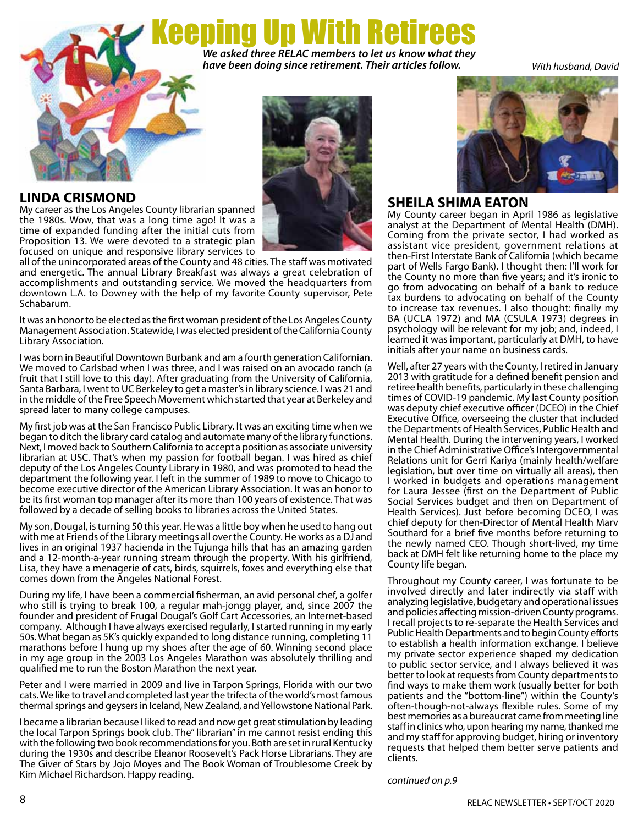eeping Up With Retire *We asked three RELAC members to let us know what they have been doing since retirement. Their articles follow.*

*With husband, David*

# **LINDA CRISMOND**

My career as the Los Angeles County librarian spanned the 1980s. Wow, that was a long time ago! It was a time of expanded funding after the initial cuts from Proposition 13. We were devoted to a strategic plan focused on unique and responsive library services to



all of the unincorporated areas of the County and 48 cities. The staff was motivated and energetic. The annual Library Breakfast was always a great celebration of accomplishments and outstanding service. We moved the headquarters from downtown L.A. to Downey with the help of my favorite County supervisor, Pete Schabarum.

It was an honor to be elected as the first woman president of the Los Angeles County Management Association. Statewide, I was elected president of the California County Library Association.

I was born in Beautiful Downtown Burbank and am a fourth generation Californian. We moved to Carlsbad when I was three, and I was raised on an avocado ranch (a fruit that I still love to this day). After graduating from the University of California, Santa Barbara, I went to UC Berkeley to get a master's in library science. I was 21 and in the middle of the Free Speech Movement which started that year at Berkeley and spread later to many college campuses.

My first job was at the San Francisco Public Library. It was an exciting time when we began to ditch the library card catalog and automate many of the library functions. Next, I moved back to Southern California to accept a position as associate university librarian at USC. That's when my passion for football began. I was hired as chief deputy of the Los Angeles County Library in 1980, and was promoted to head the department the following year. I left in the summer of 1989 to move to Chicago to become executive director of the American Library Association. It was an honor to be its first woman top manager after its more than 100 years of existence. That was followed by a decade of selling books to libraries across the United States.

My son, Dougal, is turning 50 this year. He was a little boy when he used to hang out with me at Friends of the Library meetings all over the County. He works as a DJ and lives in an original 1937 hacienda in the Tujunga hills that has an amazing garden and a 12-month-a-year running stream through the property. With his girlfriend, Lisa, they have a menagerie of cats, birds, squirrels, foxes and everything else that comes down from the Angeles National Forest.

During my life, I have been a commercial fisherman, an avid personal chef, a golfer who still is trying to break 100, a regular mah-jongg player, and, since 2007 the founder and president of Frugal Dougal's Golf Cart Accessories, an Internet-based company. Although I have always exercised regularly, I started running in my early 50s. What began as 5K's quickly expanded to long distance running, completing 11 marathons before I hung up my shoes after the age of 60. Winning second place in my age group in the 2003 Los Angeles Marathon was absolutely thrilling and qualified me to run the Boston Marathon the next year.

Peter and I were married in 2009 and live in Tarpon Springs, Florida with our two cats. We like to travel and completed last year the trifecta of the world's most famous thermal springs and geysers in Iceland, New Zealand, and Yellowstone National Park.

I became a librarian because I liked to read and now get great stimulation by leading the local Tarpon Springs book club. The" librarian" in me cannot resist ending this with the following two book recommendations for you. Both are set in rural Kentucky during the 1930s and describe Eleanor Roosevelt's Pack Horse Librarians. They are The Giver of Stars by Jojo Moyes and The Book Woman of Troublesome Creek by Kim Michael Richardson. Happy reading.



### **SHEILA SHIMA EATON**

My County career began in April 1986 as legislative analyst at the Department of Mental Health (DMH). Coming from the private sector, I had worked as assistant vice president, government relations at then-First Interstate Bank of California (which became part of Wells Fargo Bank). I thought then: I'll work for the County no more than five years; and it's ironic to go from advocating on behalf of a bank to reduce tax burdens to advocating on behalf of the County to increase tax revenues. I also thought: finally my BA (UCLA 1972) and MA (CSULA 1973) degrees in psychology will be relevant for my job; and, indeed, I learned it was important, particularly at DMH, to have initials after your name on business cards.

Well, after 27 years with the County, I retired in January 2013 with gratitude for a defined benefit pension and retiree health benefits, particularly in these challenging times of COVID-19 pandemic. My last County position was deputy chief executive officer (DCEO) in the Chief Executive Office, overseeing the cluster that included the Departments of Health Services, Public Health and Mental Health. During the intervening years, I worked in the Chief Administrative Office's Intergovernmental Relations unit for Gerri Kariya (mainly health/welfare legislation, but over time on virtually all areas), then I worked in budgets and operations management for Laura Jessee (first on the Department of Public Social Services budget and then on Department of Health Services). Just before becoming DCEO, I was chief deputy for then-Director of Mental Health Marv Southard for a brief five months before returning to the newly named CEO. Though short-lived, my time back at DMH felt like returning home to the place my County life began.

Throughout my County career, I was fortunate to be involved directly and later indirectly via staff with analyzing legislative, budgetary and operational issues and policies affecting mission-driven County programs. I recall projects to re-separate the Health Services and Public Health Departments and to begin County efforts to establish a health information exchange. I believe my private sector experience shaped my dedication to public sector service, and I always believed it was better to look at requests from County departments to find ways to make them work (usually better for both patients and the "bottom-line") within the County's often-though-not-always flexible rules. Some of my best memories as a bureaucrat came from meeting line staff in clinics who, upon hearing my name, thanked me and my staff for approving budget, hiring or inventory requests that helped them better serve patients and clients.

*continued on p.9*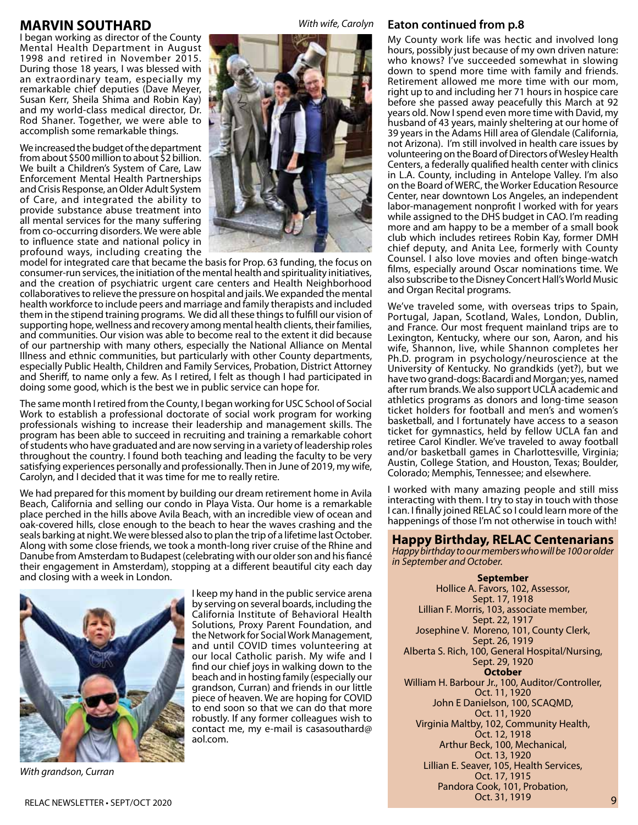### **MARVIN SOUTHARD**

I began working as director of the County Mental Health Department in August 1998 and retired in November 2015. During those 18 years, I was blessed with an extraordinary team, especially my remarkable chief deputies (Dave Meyer, Susan Kerr, Sheila Shima and Robin Kay) and my world-class medical director, Dr. Rod Shaner. Together, we were able to accomplish some remarkable things.

We increased the budget of the department from about \$500 million to about \$2 billion. We built a Children's System of Care, Law Enforcement Mental Health Partnerships and Crisis Response, an Older Adult System of Care, and integrated the ability to provide substance abuse treatment into all mental services for the many suffering from co-occurring disorders. We were able to influence state and national policy in profound ways, including creating the



*With wife, Carolyn*

model for integrated care that became the basis for Prop. 63 funding, the focus on consumer-run services, the initiation of the mental health and spirituality initiatives, and the creation of psychiatric urgent care centers and Health Neighborhood collaboratives to relieve the pressure on hospital and jails. We expanded the mental health workforce to include peers and marriage and family therapists and included them in the stipend training programs. We did all these things to fulfill our vision of supporting hope, wellness and recovery among mental health clients, their families, and communities. Our vision was able to become real to the extent it did because of our partnership with many others, especially the National Alliance on Mental Illness and ethnic communities, but particularly with other County departments, especially Public Health, Children and Family Services, Probation, District Attorney and Sheriff, to name only a few. As I retired, I felt as though I had participated in doing some good, which is the best we in public service can hope for.

The same month I retired from the County, I began working for USC School of Social Work to establish a professional doctorate of social work program for working professionals wishing to increase their leadership and management skills. The program has been able to succeed in recruiting and training a remarkable cohort of students who have graduated and are now serving in a variety of leadership roles throughout the country. I found both teaching and leading the faculty to be very satisfying experiences personally and professionally. Then in June of 2019, my wife, Carolyn, and I decided that it was time for me to really retire.

We had prepared for this moment by building our dream retirement home in Avila Beach, California and selling our condo in Playa Vista. Our home is a remarkable place perched in the hills above Avila Beach, with an incredible view of ocean and oak-covered hills, close enough to the beach to hear the waves crashing and the seals barking at night. We were blessed also to plan the trip of a lifetime last October. Along with some close friends, we took a month-long river cruise of the Rhine and Danube from Amsterdam to Budapest (celebrating with our older son and his fiancé their engagement in Amsterdam), stopping at a different beautiful city each day and closing with a week in London.



I keep my hand in the public service arena by serving on several boards, including the California Institute of Behavioral Health Solutions, Proxy Parent Foundation, and the Network for Social Work Management, and until COVID times volunteering at our local Catholic parish. My wife and I find our chief joys in walking down to the beach and in hosting family (especially our grandson, Curran) and friends in our little piece of heaven. We are hoping for COVID to end soon so that we can do that more robustly. If any former colleagues wish to contact me, my e-mail is casasouthard@ aol.com.

#### **Eaton continued from p.8**

My County work life was hectic and involved long hours, possibly just because of my own driven nature: who knows? I've succeeded somewhat in slowing down to spend more time with family and friends. Retirement allowed me more time with our mom, right up to and including her 71 hours in hospice care before she passed away peacefully this March at 92 years old. Now I spend even more time with David, my husband of 43 years, mainly sheltering at our home of 39 years in the Adams Hill area of Glendale (California, not Arizona). I'm still involved in health care issues by volunteering on the Board of Directors of Wesley Health Centers, a federally qualified health center with clinics in L.A. County, including in Antelope Valley. I'm also on the Board of WERC, the Worker Education Resource Center, near downtown Los Angeles, an independent labor-management nonprofit I worked with for years while assigned to the DHS budget in CAO. I'm reading more and am happy to be a member of a small book club which includes retirees Robin Kay, former DMH chief deputy, and Anita Lee, formerly with County Counsel. I also love movies and often binge-watch films, especially around Oscar nominations time. We also subscribe to the Disney Concert Hall's World Music and Organ Recital programs.

We've traveled some, with overseas trips to Spain, Portugal, Japan, Scotland, Wales, London, Dublin, and France. Our most frequent mainland trips are to Lexington, Kentucky, where our son, Aaron, and his wife, Shannon, live, while Shannon completes her Ph.D. program in psychology/neuroscience at the University of Kentucky. No grandkids (yet?), but we have two grand-dogs: Bacardi and Morgan; yes, named after rum brands. We also support UCLA academic and athletics programs as donors and long-time season ticket holders for football and men's and women's basketball, and I fortunately have access to a season ticket for gymnastics, held by fellow UCLA fan and retiree Carol Kindler. We've traveled to away football and/or basketball games in Charlottesville, Virginia; Austin, College Station, and Houston, Texas; Boulder, Colorado; Memphis, Tennessee; and elsewhere.

I worked with many amazing people and still miss interacting with them. I try to stay in touch with those I can. I finally joined RELAC so I could learn more of the happenings of those I'm not otherwise in touch with!

#### **Happy Birthday, RELAC Centenarians**

*Happy birthday to our members who will be 100 or older in September and October.*

**September** Hollice A. Favors, 102, Assessor, Sept. 17, 1918 Lillian F. Morris, 103, associate member, Sept. 22, 1917 Josephine V. Moreno, 101, County Clerk, Sept. 26, 1919 Alberta S. Rich, 100, General Hospital/Nursing, Sept. 29, 1920 **October** William H. Barbour Jr., 100, Auditor/Controller, Oct. 11, 1920 John E Danielson, 100, SCAQMD, Oct. 11, 1920 Virginia Maltby, 102, Community Health, Oct. 12, 1918 Arthur Beck, 100, Mechanical, Oct. 13, 1920 Lillian E. Seaver, 105, Health Services, Oct. 17, 1915 Pandora Cook, 101, Probation, Oct. 31, 1919

*With grandson, Curran*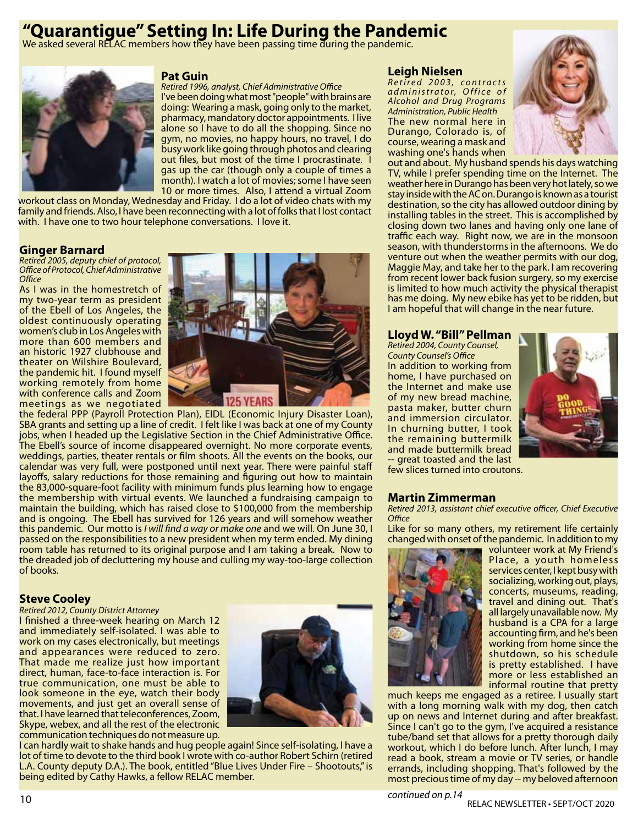# **"Quarantigue" Setting In: Life During the Pandemic**

We asked several RELAC members how they have been passing time during the pandemic.



#### **Pat Guin**

*Retired 1996, analyst, Chief Administrative Office* I've been doing what most "people" with brains are doing: Wearing a mask, going only to the market, pharmacy, mandatory doctor appointments. I live alone so I have to do all the shopping. Since no gym, no movies, no happy hours, no travel, I do busy work like going through photos and clearing out files, but most of the time I procrastinate. I gas up the car (though only a couple of times a month). I watch a lot of movies; some I have seen 10 or more times. Also, I attend a virtual Zoom

workout class on Monday, Wednesday and Friday. I do a lot of video chats with my family and friends. Also, I have been reconnecting with a lot of folks that I lost contact with. I have one to two hour telephone conversations. I love it.

#### **Ginger Barnard**

*Retired 2005, deputy chief of protocol, Office of Protocol, Chief Administrative Office*

As I was in the homestretch of my two-year term as president of the Ebell of Los Angeles, the oldest continuously operating women's club in Los Angeles with more than 600 members and an historic 1927 clubhouse and theater on Wilshire Boulevard, the pandemic hit. I found myself working remotely from home with conference calls and Zoom meetings as we negotiated



the federal PPP (Payroll Protection Plan), EIDL (Economic Injury Disaster Loan), SBA grants and setting up a line of credit. I felt like I was back at one of my County jobs, when I headed up the Legislative Section in the Chief Administrative Office. The Ebell's source of income disappeared overnight. No more corporate events, weddings, parties, theater rentals or film shoots. All the events on the books, our calendar was very full, were postponed until next year. There were painful staff layoffs, salary reductions for those remaining and figuring out how to maintain the 83,000-square-foot facility with minimum funds plus learning how to engage the membership with virtual events. We launched a fundraising campaign to maintain the building, which has raised close to \$100,000 from the membership and is ongoing. The Ebell has survived for 126 years and will somehow weather this pandemic. Our motto is *I will find a way or make one* and we will. On June 30, I passed on the responsibilities to a new president when my term ended. My dining room table has returned to its original purpose and I am taking a break. Now to the dreaded job of decluttering my house and culling my way-too-large collection of books.

#### **Steve Cooley**

#### *Retired 2012, County District Attorney*

I finished a three-week hearing on March 12 and immediately self-isolated. I was able to work on my cases electronically, but meetings and appearances were reduced to zero. That made me realize just how important direct, human, face-to-face interaction is. For true communication, one must be able to look someone in the eye, watch their body movements, and just get an overall sense of that. I have learned that teleconferences, Zoom, Skype, webex, and all the rest of the electronic communication techniques do not measure up.



I can hardly wait to shake hands and hug people again! Since self-isolating, I have a lot of time to devote to the third book I wrote with co-author Robert Schirn (retired L.A. County deputy D.A.). The book, entitled "Blue Lives Under Fire – Shootouts," is being edited by Cathy Hawks, a fellow RELAC member.

#### **Leigh Nielsen**

*R e t i r e d 2 0 0 3 , c o n t r a c t s a d m i n i s t r a t o r, O f f i c e o f Alcohol and Drug Programs Administration, Public Health* The new normal here in Durango, Colorado is, of course, wearing a mask and washing one's hands when



out and about. My husband spends his days watching TV, while I prefer spending time on the Internet. The weather here in Durango has been very hot lately, so we stay inside with the AC on. Durango is known as a tourist destination, so the city has allowed outdoor dining by installing tables in the street. This is accomplished by closing down two lanes and having only one lane of traffic each way. Right now, we are in the monsoon season, with thunderstorms in the afternoons. We do venture out when the weather permits with our dog, Maggie May, and take her to the park. I am recovering from recent lower back fusion surgery, so my exercise is limited to how much activity the physical therapist has me doing. My new ebike has yet to be ridden, but I am hopeful that will change in the near future.

#### **Lloyd W. "Bill" Pellman**

*Retired 2004, County Counsel, County Counsel's Office* In addition to working from home, I have purchased on the Internet and make use of my new bread machine, pasta maker, butter churn and immersion circulator. In churning butter, I took the remaining buttermilk and made buttermilk bread - great toasted and the last few slices turned into croutons.



#### **Martin Zimmerman**

*Retired 2013, assistant chief executive officer, Chief Executive Office*

Like for so many others, my retirement life certainly changed with onset of the pandemic. In addition to my



volunteer work at My Friend's Place, a youth homeless services center, I kept busy with socializing, working out, plays, concerts, museums, reading, travel and dining out. That's all largely unavailable now. My husband is a CPA for a large accounting firm, and he's been working from home since the shutdown, so his schedule is pretty established. I have more or less established an informal routine that pretty

much keeps me engaged as a retiree. I usually start with a long morning walk with my dog, then catch up on news and Internet during and after breakfast. Since I can't go to the gym, I've acquired a resistance tube/band set that allows for a pretty thorough daily workout, which I do before lunch. After lunch, I may read a book, stream a movie or TV series, or handle errands, including shopping. That's followed by the most precious time of my day -- my beloved afternoon

*continued on p.14*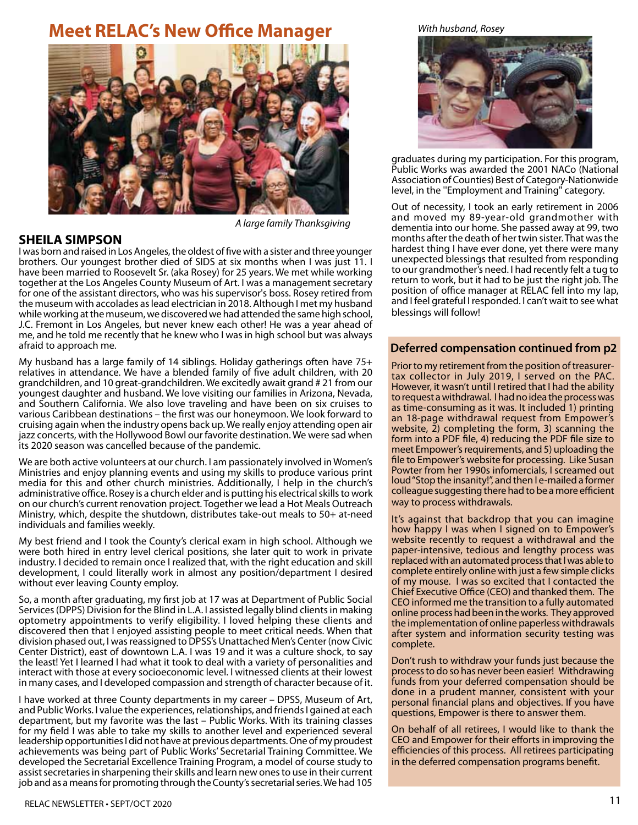# **Meet RELAC's New Office Manager**



**SHEILA SIMPSON**

*A large family Thanksgiving*

I was born and raised in Los Angeles, the oldest of five with a sister and three younger brothers. Our youngest brother died of SIDS at six months when I was just 11. I have been married to Roosevelt Sr. (aka Rosey) for 25 years. We met while working together at the Los Angeles County Museum of Art. I was a management secretary for one of the assistant directors, who was his supervisor's boss. Rosey retired from the museum with accolades as lead electrician in 2018. Although I met my husband while working at the museum, we discovered we had attended the same high school, J.C. Fremont in Los Angeles, but never knew each other! He was a year ahead of me, and he told me recently that he knew who I was in high school but was always afraid to approach me.

My husband has a large family of 14 siblings. Holiday gatherings often have 75+ relatives in attendance. We have a blended family of five adult children, with 20 grandchildren, and 10 great-grandchildren. We excitedly await grand # 21 from our youngest daughter and husband. We love visiting our families in Arizona, Nevada, and Southern California. We also love traveling and have been on six cruises to various Caribbean destinations – the first was our honeymoon. We look forward to cruising again when the industry opens back up. We really enjoy attending open air jazz concerts, with the Hollywood Bowl our favorite destination. We were sad when its 2020 season was cancelled because of the pandemic.

We are both active volunteers at our church. I am passionately involved in Women's Ministries and enjoy planning events and using my skills to produce various print media for this and other church ministries. Additionally, I help in the church's administrative office. Rosey is a church elder and is putting his electrical skills to work on our church's current renovation project. Together we lead a Hot Meals Outreach Ministry, which, despite the shutdown, distributes take-out meals to 50+ at-need individuals and families weekly.

My best friend and I took the County's clerical exam in high school. Although we were both hired in entry level clerical positions, she later quit to work in private industry. I decided to remain once I realized that, with the right education and skill development, I could literally work in almost any position/department I desired without ever leaving County employ.

So, a month after graduating, my first job at 17 was at Department of Public Social Services (DPPS) Division for the Blind in L.A. I assisted legally blind clients in making optometry appointments to verify eligibility. I loved helping these clients and discovered then that I enjoyed assisting people to meet critical needs. When that division phased out, I was reassigned to DPSS's Unattached Men's Center (now Civic Center District), east of downtown L.A. I was 19 and it was a culture shock, to say the least! Yet I learned I had what it took to deal with a variety of personalities and interact with those at every socioeconomic level. I witnessed clients at their lowest in many cases, and I developed compassion and strength of character because of it.

I have worked at three County departments in my career – DPSS, Museum of Art, and Public Works. I value the experiences, relationships, and friends I gained at each department, but my favorite was the last – Public Works. With its training classes for my field I was able to take my skills to another level and experienced several leadership opportunities I did not have at previous departments. One of my proudest achievements was being part of Public Works' Secretarial Training Committee. We developed the Secretarial Excellence Training Program, a model of course study to assist secretaries in sharpening their skills and learn new ones to use in their current job and as a means for promoting through the County's secretarial series. We had 105

#### *With husband, Rosey*



graduates during my participation. For this program, Public Works was awarded the 2001 NACo (National Association of Counties) Best of Category-Nationwide level, in the ''Employment and Training" category.

Out of necessity, I took an early retirement in 2006 and moved my 89-year-old grandmother with dementia into our home. She passed away at 99, two months after the death of her twin sister. That was the hardest thing I have ever done, yet there were many unexpected blessings that resulted from responding to our grandmother's need. I had recently felt a tug to return to work, but it had to be just the right job. The position of office manager at RELAC fell into my lap, and I feel grateful I responded. I can't wait to see what blessings will follow!

### **Deferred compensation continued from p2**

Prior to my retirement from the position of treasurertax collector in July 2019, I served on the PAC. However, it wasn't until I retired that I had the ability to request a withdrawal. I had no idea the process was as time-consuming as it was. It included 1) printing an 18-page withdrawal request from Empower's website, 2) completing the form, 3) scanning the form into a PDF file, 4) reducing the PDF file size to meet Empower's requirements, and 5) uploading the file to Empower's website for processing. Like Susan Powter from her 1990s infomercials, I screamed out loud "Stop the insanity!", and then I e-mailed a former colleague suggesting there had to be a more efficient way to process withdrawals.

It's against that backdrop that you can imagine how happy I was when I signed on to Empower's website recently to request a withdrawal and the paper-intensive, tedious and lengthy process was replaced with an automated process that I was able to complete entirely online with just a few simple clicks of my mouse. I was so excited that I contacted the Chief Executive Office (CEO) and thanked them. The CEO informed me the transition to a fully automated online process had been in the works. They approved the implementation of online paperless withdrawals after system and information security testing was complete.

Don't rush to withdraw your funds just because the process to do so has never been easier! Withdrawing funds from your deferred compensation should be done in a prudent manner, consistent with your personal financial plans and objectives. If you have questions, Empower is there to answer them.

On behalf of all retirees, I would like to thank the CEO and Empower for their efforts in improving the efficiencies of this process. All retirees participating in the deferred compensation programs benefit.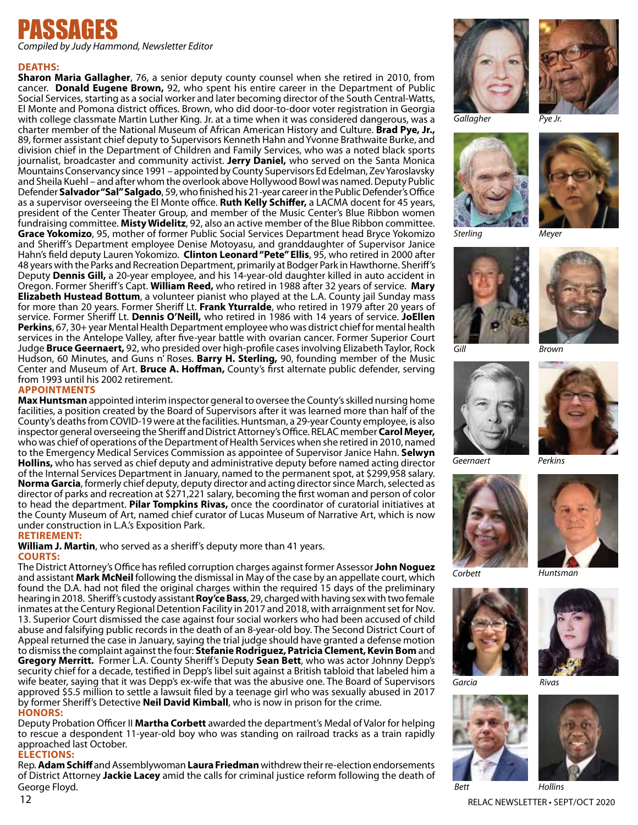

*Compiled by Judy Hammond, Newsletter Editor*

#### **Deaths:**

**Sharon Maria Gallagher**, 76, a senior deputy county counsel when she retired in 2010, from cancer. **Donald Eugene Brown,** 92, who spent his entire career in the Department of Public Social Services, starting as a social worker and later becoming director of the South Central-Watts, El Monte and Pomona district offices. Brown, who did door-to-door voter registration in Georgia with college classmate Martin Luther King. Jr. at a time when it was considered dangerous, was a charter member of the National Museum of African American History and Culture. **Brad Pye, Jr.,**  89, former assistant chief deputy to Supervisors Kenneth Hahn and Yvonne Brathwaite Burke, and division chief in the Department of Children and Family Services, who was a noted black sports journalist, broadcaster and community activist. **Jerry Daniel,** who served on the Santa Monica Mountains Conservancy since 1991 – appointed by County Supervisors Ed Edelman, Zev Yaroslavsky and Sheila Kuehl – and after whom the overlook above Hollywood Bowl was named. Deputy Public Defender **Salvador "Sal" Salgado**, 59, who finished his 21-year career in the Public Defender's Office as a supervisor overseeing the El Monte office. **Ruth Kelly Schiffer,** a LACMA docent for 45 years, president of the Center Theater Group, and member of the Music Center's Blue Ribbon women fundraising committee. **Misty Widelitz**, 92, also an active member of the Blue Ribbon committee. **Grace Yokomizo**, 95, mother of former Public Social Services Department head Bryce Yokomizo and Sheriff's Department employee Denise Motoyasu, and granddaughter of Supervisor Janice Hahn's field deputy Lauren Yokomizo. **Clinton Leonard "Pete" Ellis**, 95, who retired in 2000 after 48 years with the Parks and Recreation Department, primarily at Bodger Park in Hawthorne. Sheriff's Deputy **Dennis Gill,** a 20-year employee, and his 14-year-old daughter killed in auto accident in Oregon. Former Sheriff's Capt. **William Reed,** who retired in 1988 after 32 years of service. **Mary Elizabeth Hustead Bottum**, a volunteer pianist who played at the L.A. County jail Sunday mass for more than 20 years. Former Sheriff Lt. **Frank Yturralde**, who retired in 1979 after 20 years of service. Former Sheriff Lt. **Dennis O'Neill,** who retired in 1986 with 14 years of service. **JoEllen Perkins**, 67, 30+ year Mental Health Department employee who was district chief for mental health services in the Antelope Valley, after five-year battle with ovarian cancer. Former Superior Court Judge **Bruce Geernaert,** 92, who presided over high-profile cases involving Elizabeth Taylor, Rock Hudson, 60 Minutes, and Guns n' Roses. **Barry H. Sterling,** 90, founding member of the Music Center and Museum of Art. **Bruce A. Hoffman,** County's first alternate public defender, serving from 1993 until his 2002 retirement.

#### **Appointments**

**Max Huntsman** appointed interim inspector general to oversee the County's skilled nursing home facilities, a position created by the Board of Supervisors after it was learned more than half of the County's deaths from COVID-19 were at the facilities. Huntsman, a 29-year County employee, is also inspector general overseeing the Sheriff and District Attorney's Office. RELAC member **Carol Meyer,** who was chief of operations of the Department of Health Services when she retired in 2010, named to the Emergency Medical Services Commission as appointee of Supervisor Janice Hahn. **Selwyn Hollins,** who has served as chief deputy and administrative deputy before named acting director of the Internal Services Department in January, named to the permanent spot, at \$299,958 salary. **Norma Garcia**, formerly chief deputy, deputy director and acting director since March, selected as director of parks and recreation at \$271,221 salary, becoming the first woman and person of color to head the department. **Pilar Tompkins Rivas,** once the coordinator of curatorial initiatives at the County Museum of Art, named chief curator of Lucas Museum of Narrative Art, which is now under construction in L.A.'s Exposition Park.

#### **Retirement:**

**William J. Martin**, who served as a sheriff's deputy more than 41 years. **Courts:**

The District Attorney's Office has refiled corruption charges against former Assessor **John Noguez** and assistant **Mark McNeil** following the dismissal in May of the case by an appellate court, which found the D.A. had not filed the original charges within the required 15 days of the preliminary hearing in 2018. Sheriff's custody assistant **Roy'ce Bass**, 29, charged with having sex with two female inmates at the Century Regional Detention Facility in 2017 and 2018, with arraignment set for Nov. 13. Superior Court dismissed the case against four social workers who had been accused of child abuse and falsifying public records in the death of an 8-year-old boy. The Second District Court of Appeal returned the case in January, saying the trial judge should have granted a defense motion to dismiss the complaint against the four: **Stefanie Rodriguez, Patricia Clement, Kevin Bom** and **Gregory Merritt.** Former L.A. County Sheriff's Deputy **Sean Bett**, who was actor Johnny Depp's security chief for a decade, testified in Depp's libel suit against a British tabloid that labeled him a wife beater, saying that it was Depp's ex-wife that was the abusive one. The Board of Supervisors approved \$5.5 million to settle a lawsuit filed by a teenage girl who was sexually abused in 2017 by former Sheriff's Detective **Neil David Kimball**, who is now in prison for the crime. **Honors:**

Deputy Probation Officer II **Martha Corbett** awarded the department's Medal of Valor for helping to rescue a despondent 11-year-old boy who was standing on railroad tracks as a train rapidly approached last October.

#### **ELECTIONS:**

Rep. **Adam Schiff** and Assemblywoman **Laura Friedman** withdrew their re-election endorsements of District Attorney **Jackie Lacey** amid the calls for criminal justice reform following the death of George Floyd.





*Gallagher Pye Jr.*





*Sterling Meyer*





*Gill Brown*









*Corbett Huntsman*









*Bett Hollins*

12 RELAC NEWSLETTER • SEPT/OCT 2020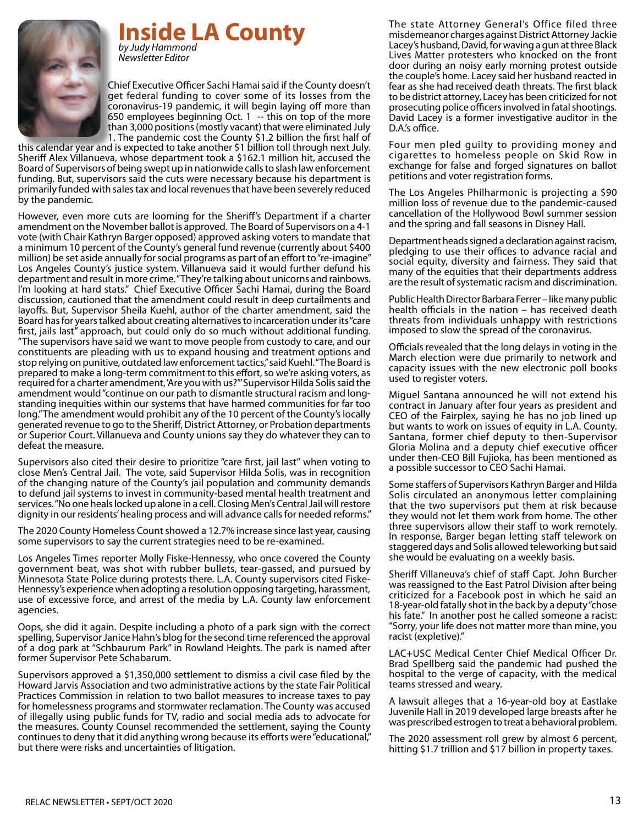**Inside LA County** *by Judy Hammond*

*Newsletter Editor*



Chief Executive Officer Sachi Hamai said if the County doesn't get federal funding to cover some of its losses from the coronavirus-19 pandemic, it will begin laying off more than 650 employees beginning Oct. 1 -- this on top of the more than 3,000 positions (mostly vacant) that were eliminated July 1. The pandemic cost the County \$1.2 billion the first half of

this calendar year and is expected to take another \$1 billion toll through next July. Sheriff Alex Villanueva, whose department took a \$162.1 million hit, accused the Board of Supervisors of being swept up in nationwide calls to slash law enforcement funding. But, supervisors said the cuts were necessary because his department is primarily funded with sales tax and local revenues that have been severely reduced by the pandemic.

However, even more cuts are looming for the Sheriff's Department if a charter amendment on the November ballot is approved. The Board of Supervisors on a 4-1 vote (with Chair Kathryn Barger opposed) approved asking voters to mandate that a minimum 10 percent of the County's general fund revenue (currently about \$400 million) be set aside annually for social programs as part of an effort to "re-imagine" Los Angeles County's justice system. Villanueva said it would further defund his department and result in more crime. "They're talking about unicorns and rainbows. I'm looking at hard stats." Chief Executive Officer Sachi Hamai, during the Board discussion, cautioned that the amendment could result in deep curtailments and layoffs. But, Supervisor Sheila Kuehl, author of the charter amendment, said the Board has for years talked about creating alternatives to incarceration under its "care first, jails last" approach, but could only do so much without additional funding. "The supervisors have said we want to move people from custody to care, and our constituents are pleading with us to expand housing and treatment options and stop relying on punitive, outdated law enforcement tactics," said Kuehl. "The Board is prepared to make a long-term commitment to this effort, so we're asking voters, as required for a charter amendment, 'Are you with us?'" Supervisor Hilda Solis said the amendment would "continue on our path to dismantle structural racism and longstanding inequities within our systems that have harmed communities for far too long." The amendment would prohibit any of the 10 percent of the County's locally generated revenue to go to the Sheriff, District Attorney, or Probation departments or Superior Court. Villanueva and County unions say they do whatever they can to defeat the measure.

Supervisors also cited their desire to prioritize "care first, jail last" when voting to close Men's Central Jail. The vote, said Supervisor Hilda Solis, was in recognition of the changing nature of the County's jail population and community demands to defund jail systems to invest in community-based mental health treatment and services. "No one heals locked up alone in a cell. Closing Men's Central Jail will restore dignity in our residents' healing process and will advance calls for needed reforms."

The 2020 County Homeless Count showed a 12.7% increase since last year, causing some supervisors to say the current strategies need to be re-examined.

Los Angeles Times reporter Molly Fiske-Hennessy, who once covered the County government beat, was shot with rubber bullets, tear-gassed, and pursued by Minnesota State Police during protests there. L.A. County supervisors cited Fiske-Hennessy's experience when adopting a resolution opposing targeting, harassment, use of excessive force, and arrest of the media by L.A. County law enforcement agencies.

Oops, she did it again. Despite including a photo of a park sign with the correct spelling, Supervisor Janice Hahn's blog for the second time referenced the approval of a dog park at "Schbaurum Park" in Rowland Heights. The park is named after former Supervisor Pete Schabarum.

Supervisors approved a \$1,350,000 settlement to dismiss a civil case filed by the Howard Jarvis Association and two administrative actions by the state Fair Political Practices Commission in relation to two ballot measures to increase taxes to pay for homelessness programs and stormwater reclamation. The County was accused of illegally using public funds for TV, radio and social media ads to advocate for the measures. County Counsel recommended the settlement, saying the County continues to deny that it did anything wrong because its efforts were "educational," but there were risks and uncertainties of litigation.

The state Attorney General's Office filed three misdemeanor charges against District Attorney Jackie Lacey's husband, David, for waving a gun at three Black Lives Matter protesters who knocked on the front door during an noisy early morning protest outside the couple's home. Lacey said her husband reacted in fear as she had received death threats. The first black to be district attorney, Lacey has been criticized for not prosecuting police officers involved in fatal shootings. David Lacey is a former investigative auditor in the D.A.'s office.

Four men pled guilty to providing money and cigarettes to homeless people on Skid Row in exchange for false and forged signatures on ballot petitions and voter registration forms.

The Los Angeles Philharmonic is projecting a \$90 million loss of revenue due to the pandemic-caused cancellation of the Hollywood Bowl summer session and the spring and fall seasons in Disney Hall.

Department heads signed a declaration against racism, pledging to use their offices to advance racial and social equity, diversity and fairness. They said that many of the equities that their departments address are the result of systematic racism and discrimination.

Public Health Director Barbara Ferrer – like many public health officials in the nation – has received death threats from individuals unhappy with restrictions imposed to slow the spread of the coronavirus.

Officials revealed that the long delays in voting in the March election were due primarily to network and capacity issues with the new electronic poll books used to register voters.

Miguel Santana announced he will not extend his contract in January after four years as president and CEO of the Fairplex, saying he has no job lined up but wants to work on issues of equity in L.A. County. Santana, former chief deputy to then-Supervisor Gloria Molina and a deputy chief executive officer under then-CEO Bill Fujioka, has been mentioned as a possible successor to CEO Sachi Hamai.

Some staffers of Supervisors Kathryn Barger and Hilda Solis circulated an anonymous letter complaining that the two supervisors put them at risk because they would not let them work from home. The other three supervisors allow their staff to work remotely. In response, Barger began letting staff telework on staggered days and Solis allowed teleworking but said she would be evaluating on a weekly basis.

Sheriff Villaneuva's chief of staff Capt. John Burcher was reassigned to the East Patrol Division after being criticized for a Facebook post in which he said an 18-year-old fatally shot in the back by a deputy "chose his fate." In another post he called someone a racist: "Sorry, your life does not matter more than mine, you racist (expletive)."

LAC+USC Medical Center Chief Medical Officer Dr. Brad Spellberg said the pandemic had pushed the hospital to the verge of capacity, with the medical teams stressed and weary.

A lawsuit alleges that a 16-year-old boy at Eastlake Juvenile Hall in 2019 developed large breasts after he was prescribed estrogen to treat a behavioral problem.

The 2020 assessment roll grew by almost 6 percent, hitting \$1.7 trillion and \$17 billion in property taxes.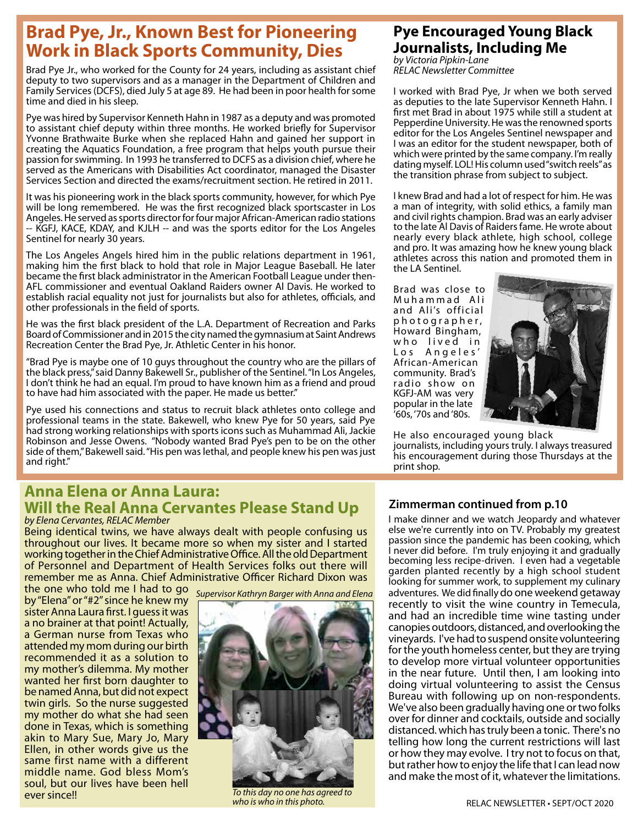# **Brad Pye, Jr., Known Best for Pioneering Work in Black Sports Community, Dies**

Brad Pye Jr., who worked for the County for 24 years, including as assistant chief deputy to two supervisors and as a manager in the Department of Children and Family Services (DCFS), died July 5 at age 89. He had been in poor health for some time and died in his sleep.

Pye was hired by Supervisor Kenneth Hahn in 1987 as a deputy and was promoted to assistant chief deputy within three months. He worked briefly for Supervisor Yvonne Brathwaite Burke when she replaced Hahn and gained her support in creating the Aquatics Foundation, a free program that helps youth pursue their passion for swimming. In 1993 he transferred to DCFS as a division chief, where he served as the Americans with Disabilities Act coordinator, managed the Disaster Services Section and directed the exams/recruitment section. He retired in 2011.

It was his pioneering work in the black sports community, however, for which Pye will be long remembered. He was the first recognized black sportscaster in Los Angeles. He served as sports director for four major African-American radio stations -- KGFJ, KACE, KDAY, and KJLH -- and was the sports editor for the Los Angeles Sentinel for nearly 30 years.

The Los Angeles Angels hired him in the public relations department in 1961, making him the first black to hold that role in Major League Baseball. He later became the first black administrator in the American Football League under then-AFL commissioner and eventual Oakland Raiders owner Al Davis. He worked to establish racial equality not just for journalists but also for athletes, officials, and other professionals in the field of sports.

He was the first black president of the L.A. Department of Recreation and Parks Board of Commissioner and in 2015 the city named the gymnasium at Saint Andrews Recreation Center the Brad Pye, Jr. Athletic Center in his honor.

"Brad Pye is maybe one of 10 guys throughout the country who are the pillars of the black press," said Danny Bakewell Sr., publisher of the Sentinel. "In Los Angeles, I don't think he had an equal. I'm proud to have known him as a friend and proud to have had him associated with the paper. He made us better."

Pye used his connections and status to recruit black athletes onto college and professional teams in the state. Bakewell, who knew Pye for 50 years, said Pye had strong working relationships with sports icons such as Muhammad Ali, Jackie Robinson and Jesse Owens. "Nobody wanted Brad Pye's pen to be on the other side of them," Bakewell said. "His pen was lethal, and people knew his pen was just and right."

## **Anna Elena or Anna Laura: Will the Real Anna Cervantes Please Stand Up** *by Elena Cervantes, RELAC Member*

Being identical twins, we have always dealt with people confusing us throughout our lives. It became more so when my sister and I started working together in the Chief Administrative Office. All the old Department of Personnel and Department of Health Services folks out there will remember me as Anna. Chief Administrative Officer Richard Dixon was

the one who told me I had to go by "Elena" or "#2" since he knew my sister Anna Laura first. I guess it was a no brainer at that point! Actually, a German nurse from Texas who attended my mom during our birth recommended it as a solution to my mother's dilemma. My mother wanted her first born daughter to be named Anna, but did not expect twin girls. So the nurse suggested my mother do what she had seen done in Texas, which is something akin to Mary Sue, Mary Jo, Mary Ellen, in other words give us the same first name with a different middle name. God bless Mom's soul, but our lives have been hell ever since!!





*To this day no one has agreed to who is who in this photo.*

# **Pye Encouraged Young Black Journalists, Including Me**

*by Victoria Pipkin-Lane RELAC Newsletter Committee*

I worked with Brad Pye, Jr when we both served as deputies to the late Supervisor Kenneth Hahn. I first met Brad in about 1975 while still a student at Pepperdine University. He was the renowned sports editor for the Los Angeles Sentinel newspaper and I was an editor for the student newspaper, both of which were printed by the same company. I'm really dating myself. LOL! His column used "switch reels" as the transition phrase from subject to subject.

I knew Brad and had a lot of respect for him. He was a man of integrity, with solid ethics, a family man and civil rights champion. Brad was an early adviser to the late Al Davis of Raiders fame. He wrote about nearly every black athlete, high school, college and pro. It was amazing how he knew young black athletes across this nation and promoted them in the LA Sentinel.

Brad was close to Muhammad Ali and Ali's official p h o t o g r a p h e r , Howard Bingham, who lived in Los Angeles' African-American community. Brad's radio show on KGFJ-AM was very popular in the late '60s, '70s and '80s.



He also encouraged young black journalists, including yours truly. I always treasured his encouragement during those Thursdays at the print shop.

## **Zimmerman continued from p.10**

I make dinner and we watch Jeopardy and whatever else we're currently into on TV. Probably my greatest passion since the pandemic has been cooking, which I never did before. I'm truly enjoying it and gradually becoming less recipe-driven. I even had a vegetable garden planted recently by a high school student looking for summer work, to supplement my culinary adventures. We did finally do one weekend getaway recently to visit the wine country in Temecula, and had an incredible time wine tasting under canopies outdoors, distanced, and overlooking the vineyards. I've had to suspend onsite volunteering for the youth homeless center, but they are trying to develop more virtual volunteer opportunities in the near future. Until then, I am looking into doing virtual volunteering to assist the Census Bureau with following up on non-respondents. We've also been gradually having one or two folks over for dinner and cocktails, outside and socially distanced. which has truly been a tonic. There's no telling how long the current restrictions will last or how they may evolve. I try not to focus on that, but rather how to enjoy the life that I can lead now and make the most of it, whatever the limitations.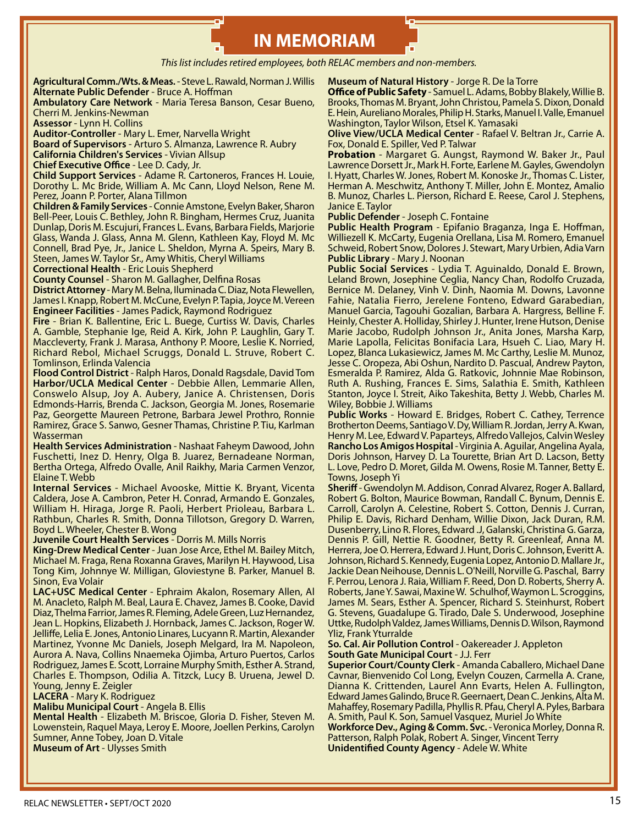# **IN MEMORIAM**

*This list includes retired employees, both RELAC members and non-members.*

**Agricultural Comm./Wts. & Meas.** - Steve L. Rawald, Norman J. Willis **Alternate Public Defender** - Bruce A. Hoffman

**Ambulatory Care Network** - Maria Teresa Banson, Cesar Bueno, Cherri M. Jenkins-Newman

**Assessor** - Lynn H. Collins

**Auditor-Controller** - Mary L. Emer, Narvella Wright

**Board of Supervisors** - Arturo S. Almanza, Lawrence R. Aubry

**California Children's Services** - Vivian Allsup

**Chief Executive Office** - Lee D. Cady, Jr.

**Child Support Services** - Adame R. Cartoneros, Frances H. Louie, Dorothy L. Mc Bride, William A. Mc Cann, Lloyd Nelson, Rene M. Perez, Joann P. Porter, Alana Tillmon

**Children & Family Services** - Connie Amstone, Evelyn Baker, Sharon Bell-Peer, Louis C. Bethley, John R. Bingham, Hermes Cruz, Juanita Dunlap, Doris M. Escujuri, Frances L. Evans, Barbara Fields, Marjorie Glass, Wanda J. Glass, Anna M. Glenn, Kathleen Kay, Floyd M. Mc Connell, Brad Pye, Jr., Janice L. Sheldon, Myrna A. Speirs, Mary B. Steen, James W. Taylor Sr., Amy Whitis, Cheryl Williams

**Correctional Health** - Eric Louis Shepherd

**County Counsel** - Sharon M. Gallagher, Delfina Rosas

**District Attorney** - Mary M. Belna, Iluminada C. Diaz, Nota Flewellen, James I. Knapp, Robert M. McCune, Evelyn P. Tapia, Joyce M. Vereen **Engineer Facilities** - James Padick, Raymond Rodriguez

**Fire** - Brian K. Ballentine, Eric L. Buege, Curtiss W. Davis, Charles A. Gamble, Stephanie Ige, Reid A. Kirk, John P. Laughlin, Gary T. Maccleverty, Frank J. Marasa, Anthony P. Moore, Leslie K. Norried, Richard Rebol, Michael Scruggs, Donald L. Struve, Robert C. Tomlinson, Erlinda Valencia

**Flood Control District** - Ralph Haros, Donald Ragsdale, David Tom **Harbor/UCLA Medical Center** - Debbie Allen, Lemmarie Allen, Conswelo Alsup, Joy A. Aubery, Janice A. Christensen, Doris Edmonds-Harris, Brenda C. Jackson, Georgia M. Jones, Rosemarie Paz, Georgette Maureen Petrone, Barbara Jewel Prothro, Ronnie Ramirez, Grace S. Sanwo, Gesner Thamas, Christine P. Tiu, Karlman Wasserman

**Health Services Administration** - Nashaat Faheym Dawood, John Fuschetti, Inez D. Henry, Olga B. Juarez, Bernadeane Norman, Bertha Ortega, Alfredo Ovalle, Anil Raikhy, Maria Carmen Venzor, Elaine T. Webb

**Internal Services** - Michael Avooske, Mittie K. Bryant, Vicenta Caldera, Jose A. Cambron, Peter H. Conrad, Armando E. Gonzales, William H. Hiraga, Jorge R. Paoli, Herbert Prioleau, Barbara L. Rathbun, Charles R. Smith, Donna Tillotson, Gregory D. Warren, Boyd L. Wheeler, Chester B. Wong

**Juvenile Court Health Services** - Dorris M. Mills Norris

**King-Drew Medical Center** - Juan Jose Arce, Ethel M. Bailey Mitch, Michael M. Fraga, Rena Roxanna Graves, Marilyn H. Haywood, Lisa Tong Kim, Johnnye W. Milligan, Gloviestyne B. Parker, Manuel B. Sinon, Eva Volair

**LAC+USC Medical Center** - Ephraim Akalon, Rosemary Allen, Al M. Anacleto, Ralph M. Beal, Laura E. Chavez, James B. Cooke, David Diaz, Thelma Farrior, James R. Fleming, Adele Green, Luz Hernandez, Jean L. Hopkins, Elizabeth J. Hornback, James C. Jackson, Roger W. Jelliffe, Lelia E. Jones, Antonio Linares, Lucyann R. Martin, Alexander Martinez, Yvonne Mc Daniels, Joseph Melgard, Ira M. Napoleon, Aurora A. Nava, Collins Nnaemeka Ojimba, Arturo Puertos, Carlos Rodriguez, James E. Scott, Lorraine Murphy Smith, Esther A. Strand, Charles E. Thompson, Odilia A. Titzck, Lucy B. Uruena, Jewel D. Young, Jenny E. Zeigler

**LACERA** - Mary K. Rodriguez

**Malibu Municipal Court** - Angela B. Ellis

**Mental Health** - Elizabeth M. Briscoe, Gloria D. Fisher, Steven M. Lowenstein, Raquel Maya, Leroy E. Moore, Joellen Perkins, Carolyn Sumner, Anne Tobey, Joan D. Vitale **Museum of Art** - Ulysses Smith

**Museum of Natural History** - Jorge R. De la Torre

**Office of Public Safety** - Samuel L. Adams, Bobby Blakely, Willie B. Brooks, Thomas M. Bryant, John Christou, Pamela S. Dixon, Donald E. Hein, Aureliano Morales, Philip H. Starks, Manuel I. Valle, Emanuel Washington, Taylor Wilson, Etsel K. Yamasaki

**Olive View/UCLA Medical Center** - Rafael V. Beltran Jr., Carrie A. Fox, Donald E. Spiller, Ved P. Talwar

**Probation** - Margaret G. Aungst, Raymond W. Baker Jr., Paul Lawrence Dorsett Jr., Mark H. Forte, Earlene M. Gayles, Gwendolyn I. Hyatt, Charles W. Jones, Robert M. Konoske Jr., Thomas C. Lister, Herman A. Meschwitz, Anthony T. Miller, John E. Montez, Amalio B. Munoz, Charles L. Pierson, Richard E. Reese, Carol J. Stephens, Janice E. Taylor

**Public Defender** - Joseph C. Fontaine

**Public Health Program** - Epifanio Braganza, Inga E. Hoffman, Williezell K. McCarty, Eugenia Orellana, Lisa M. Romero, Emanuel Schweid, Robert Snow, Dolores J. Stewart, Mary Urbien, Adia Varn **Public Library** - Mary J. Noonan

**Public Social Services** - Lydia T. Aguinaldo, Donald E. Brown, Leland Brown, Josephine Ceglia, Nancy Chan, Rodolfo Cruzada, Bernice M. Delaney, Vinh V. Dinh, Naomia M. Downs, Lavonne Fahie, Natalia Fierro, Jerelene Fonteno, Edward Garabedian, Manuel Garcia, Tagouhi Gozalian, Barbara A. Hargress, Belline F. Heinly, Chester A. Holliday, Shirley J. Hunter, Irene Hutson, Denise Marie Jacobo, Rudolph Johnson Jr., Anita Jones, Marsha Karp, Marie Lapolla, Felicitas Bonifacia Lara, Hsueh C. Liao, Mary H. Lopez, Blanca Lukasiewicz, James M. Mc Carthy, Leslie M. Munoz, Jesse C. Oropeza, Abi Oshun, Nardito D. Pascual, Andrew Payton, Esmeralda P. Ramirez, Alda G. Ratkovic, Johnnie Mae Robinson, Ruth A. Rushing, Frances E. Sims, Salathia E. Smith, Kathleen Stanton, Joyce I. Streit, Aiko Takeshita, Betty J. Webb, Charles M. Wiley, Bobbie J. Williams

**Public Works** - Howard E. Bridges, Robert C. Cathey, Terrence Brotherton Deems, Santiago V. Dy, William R. Jordan, Jerry A. Kwan, Henry M. Lee, Edward V. Paparteys, Alfredo Vallejos, Calvin Wesley **Rancho Los Amigos Hospital** - Virginia A. Aguilar, Angelina Ayala, Doris Johnson, Harvey D. La Tourette, Brian Art D. Lacson, Betty L. Love, Pedro D. Moret, Gilda M. Owens, Rosie M. Tanner, Betty E. Towns, Joseph Yi

**Sheriff** - Gwendolyn M. Addison, Conrad Alvarez, Roger A. Ballard, Robert G. Bolton, Maurice Bowman, Randall C. Bynum, Dennis E. Carroll, Carolyn A. Celestine, Robert S. Cotton, Dennis J. Curran, Philip E. Davis, Richard Denham, Willie Dixon, Jack Duran, R.M. Dusenberry, Lino R. Flores, Edward .J, Galanski, Christina G. Garza, Dennis P. Gill, Nettie R. Goodner, Betty R. Greenleaf, Anna M. Herrera, Joe O. Herrera, Edward J. Hunt, Doris C. Johnson, Everitt A. Johnson, Richard S. Kennedy, Eugenia Lopez, Antonio D. Mallare Jr., Jackie Dean Neihouse, Dennis L. O'Neill, Norville G. Paschal, Barry F. Perrou, Lenora J. Raia, William F. Reed, Don D. Roberts, Sherry A. Roberts, Jane Y. Sawai, Maxine W. Schulhof, Waymon L. Scroggins, James M. Sears, Esther A. Spencer, Richard S. Steinhurst, Robert G. Stevens, Guadalupe G. Tirado, Dale S. Underwood, Josephine Uttke, Rudolph Valdez, James Williams, Dennis D. Wilson, Raymond Yliz, Frank Yturralde

#### **So. Cal. Air Pollution Control** - Oakereader J. Appleton **South Gate Municipal Court** - J.J. Ferr

**Superior Court/County Clerk** - Amanda Caballero, Michael Dane Cavnar, Bienvenido Col Long, Evelyn Couzen, Carmella A. Crane, Dianna K. Crittenden, Laurel Ann Evarts, Helen A. Fullington, Edward James Galindo, Bruce R. Geernaert, Dean C. Jenkins, Alta M. Mahaffey, Rosemary Padilla, Phyllis R. Pfau, Cheryl A. Pyles, Barbara A. Smith, Paul K. Son, Samuel Vasquez, Muriel Jo White

**Workforce Dev., Aging & Comm. Svc.** - Veronica Morley, Donna R. Patterson, Ralph Polak, Robert A. Singer, Vincent Terry **Unidentified County Agency** - Adele W. White